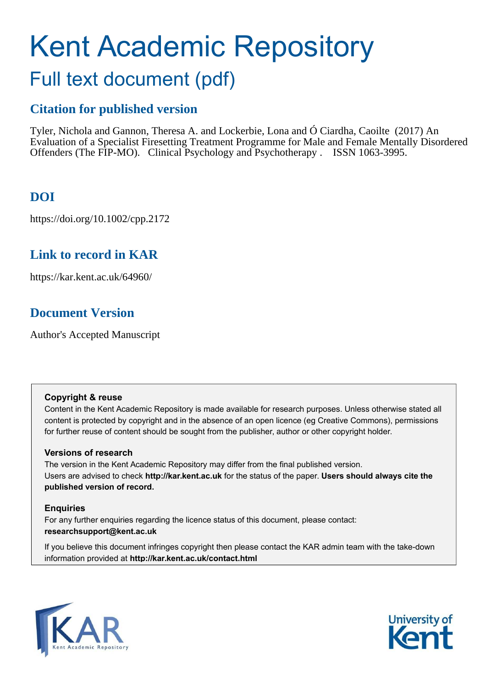# Kent Academic Repository

## Full text document (pdf)

## **Citation for published version**

Tyler, Nichola and Gannon, Theresa A. and Lockerbie, Lona and Ó Ciardha, Caoilte (2017) An Evaluation of a Specialist Firesetting Treatment Programme for Male and Female Mentally Disordered Offenders (The FIP-MO). Clinical Psychology and Psychotherapy . ISSN 1063-3995.

## **DOI**

https://doi.org/10.1002/cpp.2172

## **Link to record in KAR**

https://kar.kent.ac.uk/64960/

## **Document Version**

Author's Accepted Manuscript

#### **Copyright & reuse**

Content in the Kent Academic Repository is made available for research purposes. Unless otherwise stated all content is protected by copyright and in the absence of an open licence (eg Creative Commons), permissions for further reuse of content should be sought from the publisher, author or other copyright holder.

#### **Versions of research**

The version in the Kent Academic Repository may differ from the final published version. Users are advised to check **http://kar.kent.ac.uk** for the status of the paper. **Users should always cite the published version of record.**

#### **Enquiries**

For any further enquiries regarding the licence status of this document, please contact: **researchsupport@kent.ac.uk**

If you believe this document infringes copyright then please contact the KAR admin team with the take-down information provided at **http://kar.kent.ac.uk/contact.html**



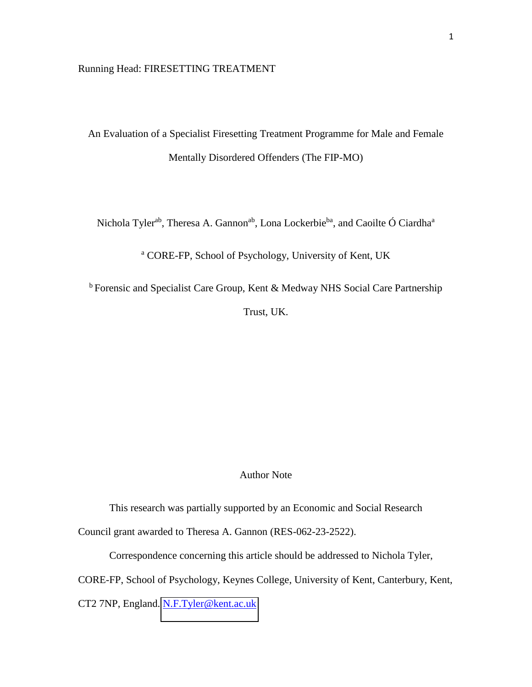#### Running Head: FIRESETTING TREATMENT

An Evaluation of a Specialist Firesetting Treatment Programme for Male and Female Mentally Disordered Offenders (The FIP-MO)

Nichola Tyler<sup>ab</sup>, Theresa A. Gannon<sup>ab</sup>, Lona Lockerbie<sup>ba</sup>, and Caoilte Ó Ciardha<sup>a</sup>

a CORE-FP, School of Psychology, University of Kent, UK

<sup>b</sup> Forensic and Specialist Care Group, Kent & Medway NHS Social Care Partnership Trust, UK.

#### Author Note

This research was partially supported by an Economic and Social Research Council grant awarded to Theresa A. Gannon (RES-062-23-2522).

Correspondence concerning this article should be addressed to Nichola Tyler,

CORE-FP, School of Psychology, Keynes College, University of Kent, Canterbury, Kent,

CT2 7NP, England. [N.F.Tyler@kent.ac.uk](mailto:N.F.Tyler@kent.ac.uk)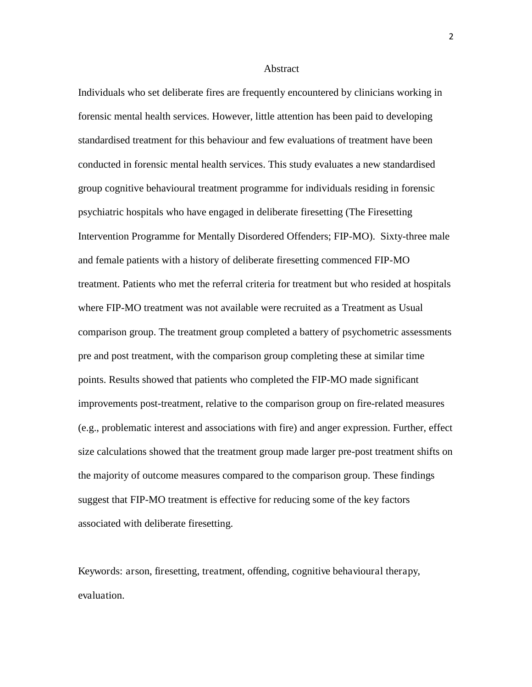#### Abstract

Individuals who set deliberate fires are frequently encountered by clinicians working in forensic mental health services. However, little attention has been paid to developing standardised treatment for this behaviour and few evaluations of treatment have been conducted in forensic mental health services. This study evaluates a new standardised group cognitive behavioural treatment programme for individuals residing in forensic psychiatric hospitals who have engaged in deliberate firesetting (The Firesetting Intervention Programme for Mentally Disordered Offenders; FIP-MO). Sixty-three male and female patients with a history of deliberate firesetting commenced FIP-MO treatment. Patients who met the referral criteria for treatment but who resided at hospitals where FIP-MO treatment was not available were recruited as a Treatment as Usual comparison group. The treatment group completed a battery of psychometric assessments pre and post treatment, with the comparison group completing these at similar time points. Results showed that patients who completed the FIP-MO made significant improvements post-treatment, relative to the comparison group on fire-related measures (e.g., problematic interest and associations with fire) and anger expression. Further, effect size calculations showed that the treatment group made larger pre-post treatment shifts on the majority of outcome measures compared to the comparison group. These findings suggest that FIP-MO treatment is effective for reducing some of the key factors associated with deliberate firesetting.

Keywords: arson, firesetting, treatment, offending, cognitive behavioural therapy, evaluation.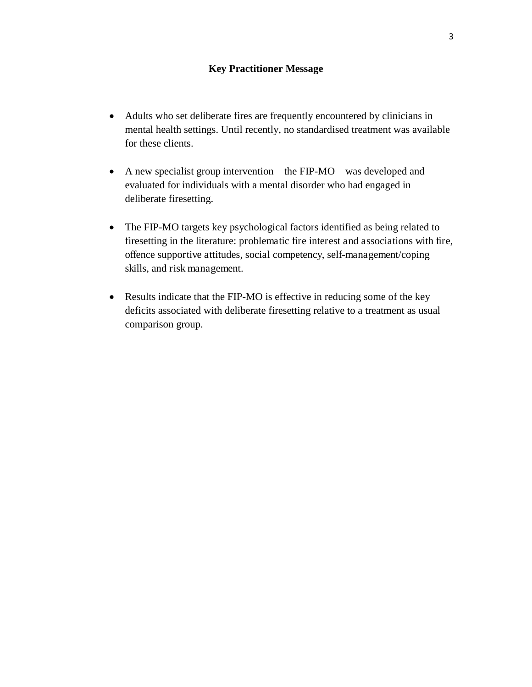#### **Key Practitioner Message**

- Adults who set deliberate fires are frequently encountered by clinicians in mental health settings. Until recently, no standardised treatment was available for these clients.
- A new specialist group intervention—the FIP-MO—was developed and evaluated for individuals with a mental disorder who had engaged in deliberate firesetting.
- The FIP-MO targets key psychological factors identified as being related to firesetting in the literature: problematic fire interest and associations with fire, offence supportive attitudes, social competency, self-management/coping skills, and risk management.
- Results indicate that the FIP-MO is effective in reducing some of the key deficits associated with deliberate firesetting relative to a treatment as usual comparison group.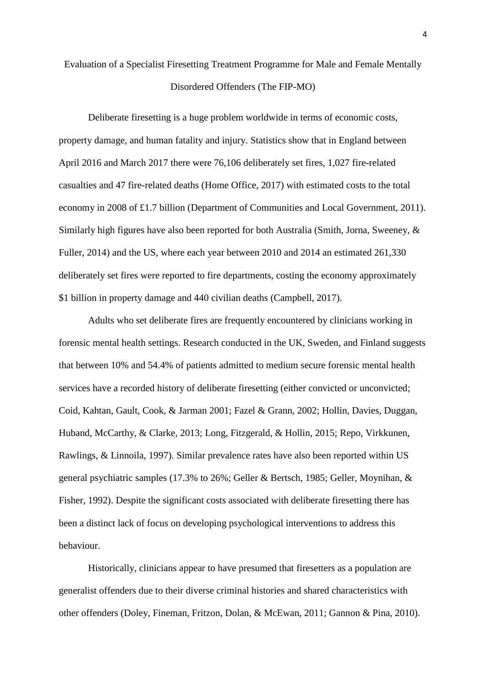## Evaluation of a Specialist Firesetting Treatment Programme for Male and Female Mentally Disordered Offenders (The FIP-MO)

Deliberate firesetting is a huge problem worldwide in terms of economic costs, property damage, and human fatality and injury. Statistics show that in England between April 2016 and March 2017 there were 76,106 deliberately set fires, 1,027 fire-related casualties and 47 fire-related deaths (Home Office, 2017) with estimated costs to the total economy in 2008 of £1.7 billion (Department of Communities and Local Government, 2011). Similarly high figures have also been reported for both Australia (Smith, Jorna, Sweeney, & Fuller, 2014) and the US, where each year between 2010 and 2014 an estimated 261,330 deliberately set fires were reported to fire departments, costing the economy approximately \$1 billion in property damage and 440 civilian deaths (Campbell, 2017).

Adults who set deliberate fires are frequently encountered by clinicians working in forensic mental health settings. Research conducted in the UK, Sweden, and Finland suggests that between 10% and 54.4% of patients admitted to medium secure forensic mental health services have a recorded history of deliberate firesetting (either convicted or unconvicted; Coid, Kahtan, Gault, Cook, & Jarman 2001; Fazel & Grann, 2002; Hollin, Davies, Duggan, Huband, McCarthy, & Clarke, 2013; Long, Fitzgerald, & Hollin, 2015; Repo, Virkkunen, Rawlings, & Linnoila, 1997). Similar prevalence rates have also been reported within US general psychiatric samples (17.3% to 26%; Geller & Bertsch, 1985; Geller, Moynihan, & Fisher, 1992). Despite the significant costs associated with deliberate firesetting there has been a distinct lack of focus on developing psychological interventions to address this behaviour.

Historically, clinicians appear to have presumed that firesetters as a population are generalist offenders due to their diverse criminal histories and shared characteristics with other offenders (Doley, Fineman, Fritzon, Dolan, & McEwan, 2011; Gannon & Pina, 2010).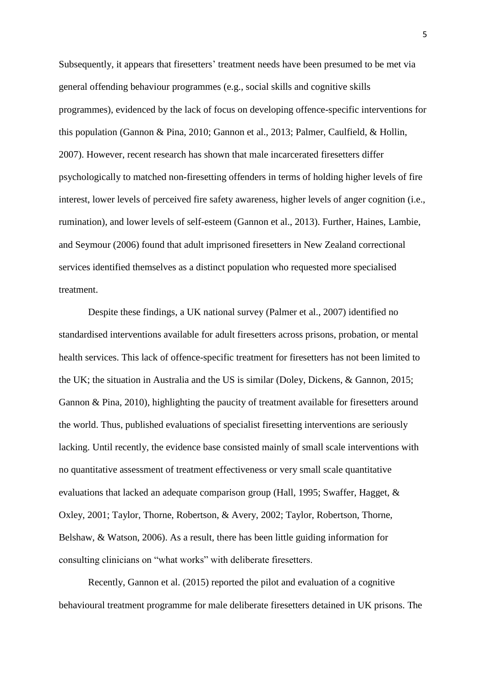Subsequently, it appears that firesetters' treatment needs have been presumed to be met via general offending behaviour programmes (e.g., social skills and cognitive skills programmes), evidenced by the lack of focus on developing offence-specific interventions for this population (Gannon & Pina, 2010; Gannon et al., 2013; Palmer, Caulfield, & Hollin, 2007). However, recent research has shown that male incarcerated firesetters differ psychologically to matched non-firesetting offenders in terms of holding higher levels of fire interest, lower levels of perceived fire safety awareness, higher levels of anger cognition (i.e., rumination), and lower levels of self-esteem (Gannon et al., 2013). Further, Haines, Lambie, and Seymour (2006) found that adult imprisoned firesetters in New Zealand correctional services identified themselves as a distinct population who requested more specialised treatment.

Despite these findings, a UK national survey (Palmer et al., 2007) identified no standardised interventions available for adult firesetters across prisons, probation, or mental health services. This lack of offence-specific treatment for firesetters has not been limited to the UK; the situation in Australia and the US is similar (Doley, Dickens, & Gannon, 2015; Gannon & Pina, 2010), highlighting the paucity of treatment available for firesetters around the world. Thus, published evaluations of specialist firesetting interventions are seriously lacking. Until recently, the evidence base consisted mainly of small scale interventions with no quantitative assessment of treatment effectiveness or very small scale quantitative evaluations that lacked an adequate comparison group (Hall, 1995; Swaffer, Hagget, & Oxley, 2001; Taylor, Thorne, Robertson, & Avery, 2002; Taylor, Robertson, Thorne, Belshaw, & Watson, 2006). As a result, there has been little guiding information for consulting clinicians on "what works" with deliberate firesetters.

Recently, Gannon et al. (2015) reported the pilot and evaluation of a cognitive behavioural treatment programme for male deliberate firesetters detained in UK prisons. The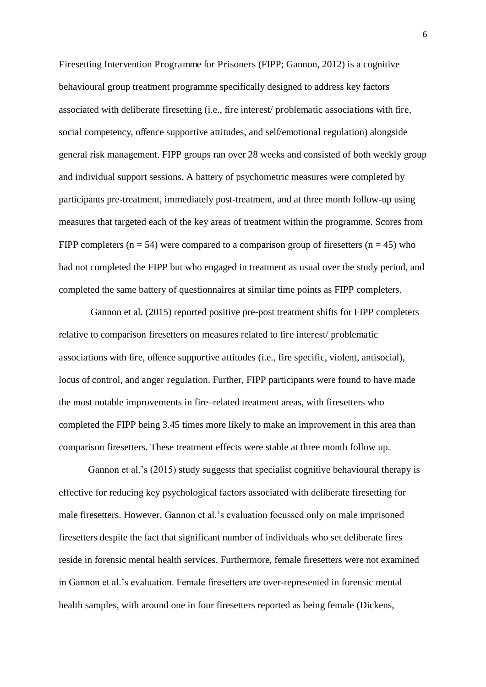Firesetting Intervention Programme for Prisoners (FIPP; Gannon, 2012) is a cognitive behavioural group treatment programme specifically designed to address key factors associated with deliberate firesetting (i.e., fire interest/ problematic associations with fire, social competency, offence supportive attitudes, and self/emotional regulation) alongside general risk management. FIPP groups ran over 28 weeks and consisted of both weekly group and individual support sessions. A battery of psychometric measures were completed by participants pre-treatment, immediately post-treatment, and at three month follow-up using measures that targeted each of the key areas of treatment within the programme. Scores from FIPP completers ( $n = 54$ ) were compared to a comparison group of firesetters ( $n = 45$ ) who had not completed the FIPP but who engaged in treatment as usual over the study period, and completed the same battery of questionnaires at similar time points as FIPP completers.

 Gannon et al. (2015) reported positive pre-post treatment shifts for FIPP completers relative to comparison firesetters on measures related to fire interest/ problematic associations with fire, offence supportive attitudes (i.e., fire specific, violent, antisocial), locus of control, and anger regulation. Further, FIPP participants were found to have made the most notable improvements in fire–related treatment areas, with firesetters who completed the FIPP being 3.45 times more likely to make an improvement in this area than comparison firesetters. These treatment effects were stable at three month follow up.

Gannon et al.'s (2015) study suggests that specialist cognitive behavioural therapy is effective for reducing key psychological factors associated with deliberate firesetting for male firesetters. However, Gannon et al.'s evaluation focussed only on male imprisoned firesetters despite the fact that significant number of individuals who set deliberate fires reside in forensic mental health services. Furthermore, female firesetters were not examined in Gannon et al.'s evaluation. Female firesetters are over-represented in forensic mental health samples, with around one in four firesetters reported as being female (Dickens,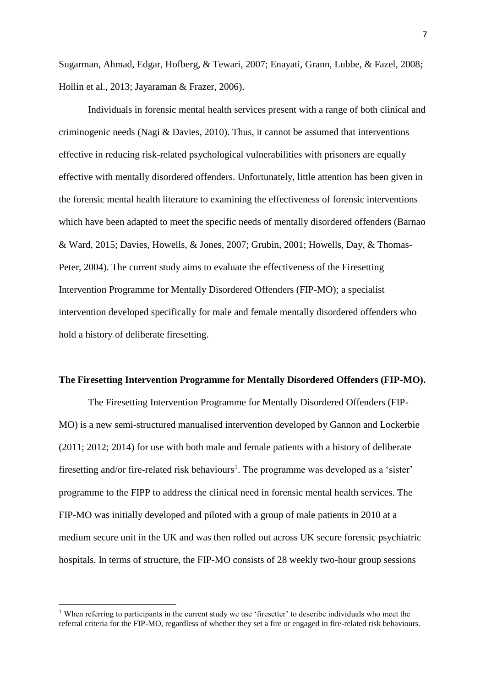Sugarman, Ahmad, Edgar, Hofberg, & Tewari, 2007; Enayati, Grann, Lubbe, & Fazel, 2008; Hollin et al., 2013; Jayaraman & Frazer, 2006).

Individuals in forensic mental health services present with a range of both clinical and criminogenic needs (Nagi & Davies, 2010). Thus, it cannot be assumed that interventions effective in reducing risk-related psychological vulnerabilities with prisoners are equally effective with mentally disordered offenders. Unfortunately, little attention has been given in the forensic mental health literature to examining the effectiveness of forensic interventions which have been adapted to meet the specific needs of mentally disordered offenders (Barnao & Ward, 2015; Davies, Howells, & Jones, 2007; Grubin, 2001; Howells, Day, & Thomas-Peter, 2004). The current study aims to evaluate the effectiveness of the Firesetting Intervention Programme for Mentally Disordered Offenders (FIP-MO); a specialist intervention developed specifically for male and female mentally disordered offenders who hold a history of deliberate firesetting.

#### **The Firesetting Intervention Programme for Mentally Disordered Offenders (FIP-MO).**

 The Firesetting Intervention Programme for Mentally Disordered Offenders (FIP-MO) is a new semi-structured manualised intervention developed by Gannon and Lockerbie (2011; 2012; 2014) for use with both male and female patients with a history of deliberate firesetting and/or fire-related risk behaviours<sup>1</sup>. The programme was developed as a 'sister' programme to the FIPP to address the clinical need in forensic mental health services. The FIP-MO was initially developed and piloted with a group of male patients in 2010 at a medium secure unit in the UK and was then rolled out across UK secure forensic psychiatric hospitals. In terms of structure, the FIP-MO consists of 28 weekly two-hour group sessions

 $\overline{a}$ 

<sup>&</sup>lt;sup>1</sup> When referring to participants in the current study we use 'firesetter' to describe individuals who meet the referral criteria for the FIP-MO, regardless of whether they set a fire or engaged in fire-related risk behaviours.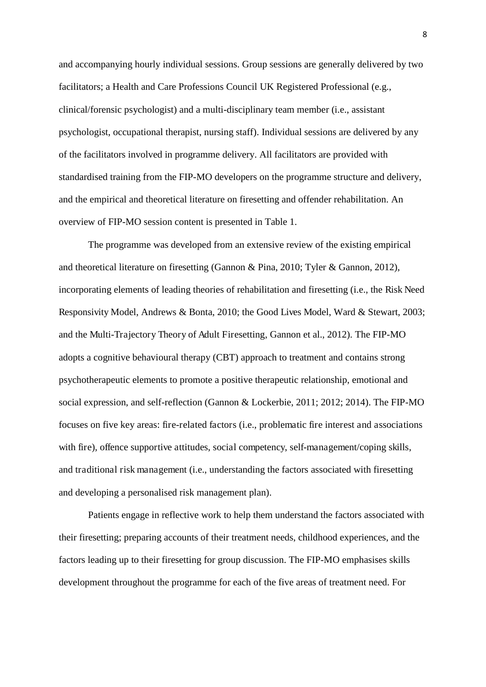and accompanying hourly individual sessions. Group sessions are generally delivered by two facilitators; a Health and Care Professions Council UK Registered Professional (e.g., clinical/forensic psychologist) and a multi-disciplinary team member (i.e., assistant psychologist, occupational therapist, nursing staff). Individual sessions are delivered by any of the facilitators involved in programme delivery. All facilitators are provided with standardised training from the FIP-MO developers on the programme structure and delivery, and the empirical and theoretical literature on firesetting and offender rehabilitation. An overview of FIP-MO session content is presented in Table 1.

The programme was developed from an extensive review of the existing empirical and theoretical literature on firesetting (Gannon & Pina, 2010; Tyler & Gannon, 2012), incorporating elements of leading theories of rehabilitation and firesetting (i.e., the Risk Need Responsivity Model, Andrews & Bonta, 2010; the Good Lives Model, Ward & Stewart, 2003; and the Multi-Trajectory Theory of Adult Firesetting, Gannon et al., 2012). The FIP-MO adopts a cognitive behavioural therapy (CBT) approach to treatment and contains strong psychotherapeutic elements to promote a positive therapeutic relationship, emotional and social expression, and self-reflection (Gannon & Lockerbie, 2011; 2012; 2014). The FIP-MO focuses on five key areas: fire-related factors (i.e., problematic fire interest and associations with fire), offence supportive attitudes, social competency, self-management/coping skills, and traditional risk management (i.e., understanding the factors associated with firesetting and developing a personalised risk management plan).

Patients engage in reflective work to help them understand the factors associated with their firesetting; preparing accounts of their treatment needs, childhood experiences, and the factors leading up to their firesetting for group discussion. The FIP-MO emphasises skills development throughout the programme for each of the five areas of treatment need. For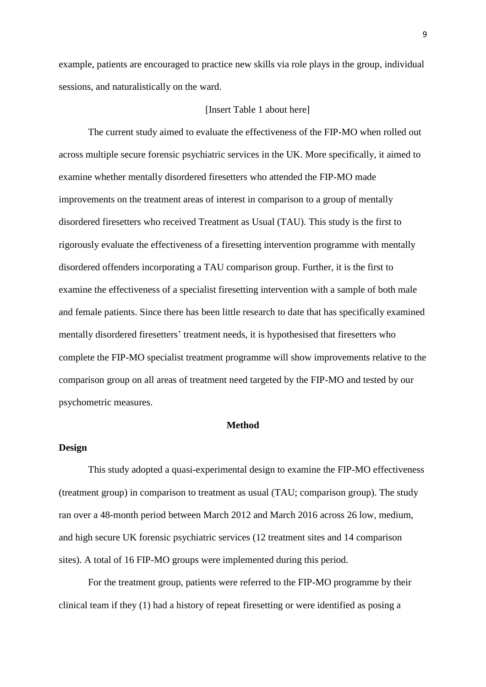example, patients are encouraged to practice new skills via role plays in the group, individual sessions, and naturalistically on the ward.

#### [Insert Table 1 about here]

 The current study aimed to evaluate the effectiveness of the FIP-MO when rolled out across multiple secure forensic psychiatric services in the UK. More specifically, it aimed to examine whether mentally disordered firesetters who attended the FIP-MO made improvements on the treatment areas of interest in comparison to a group of mentally disordered firesetters who received Treatment as Usual (TAU). This study is the first to rigorously evaluate the effectiveness of a firesetting intervention programme with mentally disordered offenders incorporating a TAU comparison group. Further, it is the first to examine the effectiveness of a specialist firesetting intervention with a sample of both male and female patients. Since there has been little research to date that has specifically examined mentally disordered firesetters' treatment needs, it is hypothesised that firesetters who complete the FIP-MO specialist treatment programme will show improvements relative to the comparison group on all areas of treatment need targeted by the FIP-MO and tested by our psychometric measures.

#### **Method**

#### **Design**

This study adopted a quasi-experimental design to examine the FIP-MO effectiveness (treatment group) in comparison to treatment as usual (TAU; comparison group). The study ran over a 48-month period between March 2012 and March 2016 across 26 low, medium, and high secure UK forensic psychiatric services (12 treatment sites and 14 comparison sites). A total of 16 FIP-MO groups were implemented during this period.

For the treatment group, patients were referred to the FIP-MO programme by their clinical team if they (1) had a history of repeat firesetting or were identified as posing a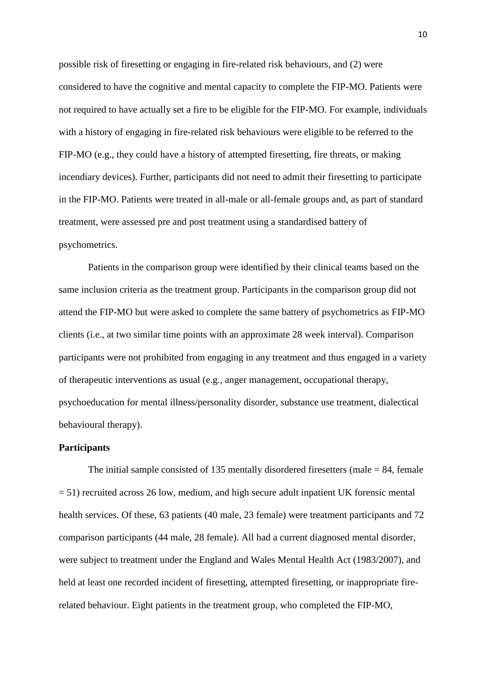possible risk of firesetting or engaging in fire-related risk behaviours, and (2) were considered to have the cognitive and mental capacity to complete the FIP-MO. Patients were not required to have actually set a fire to be eligible for the FIP-MO. For example, individuals with a history of engaging in fire-related risk behaviours were eligible to be referred to the FIP-MO (e.g., they could have a history of attempted firesetting, fire threats, or making incendiary devices). Further, participants did not need to admit their firesetting to participate in the FIP-MO. Patients were treated in all-male or all-female groups and, as part of standard treatment, were assessed pre and post treatment using a standardised battery of psychometrics.

Patients in the comparison group were identified by their clinical teams based on the same inclusion criteria as the treatment group. Participants in the comparison group did not attend the FIP-MO but were asked to complete the same battery of psychometrics as FIP-MO clients (i.e., at two similar time points with an approximate 28 week interval). Comparison participants were not prohibited from engaging in any treatment and thus engaged in a variety of therapeutic interventions as usual (e.g., anger management, occupational therapy, psychoeducation for mental illness/personality disorder, substance use treatment, dialectical behavioural therapy).

#### **Participants**

The initial sample consisted of 135 mentally disordered firesetters (male  $= 84$ , female = 51) recruited across 26 low, medium, and high secure adult inpatient UK forensic mental health services. Of these, 63 patients (40 male, 23 female) were treatment participants and 72 comparison participants (44 male, 28 female). All had a current diagnosed mental disorder, were subject to treatment under the England and Wales Mental Health Act (1983/2007), and held at least one recorded incident of firesetting, attempted firesetting, or inappropriate firerelated behaviour. Eight patients in the treatment group, who completed the FIP-MO,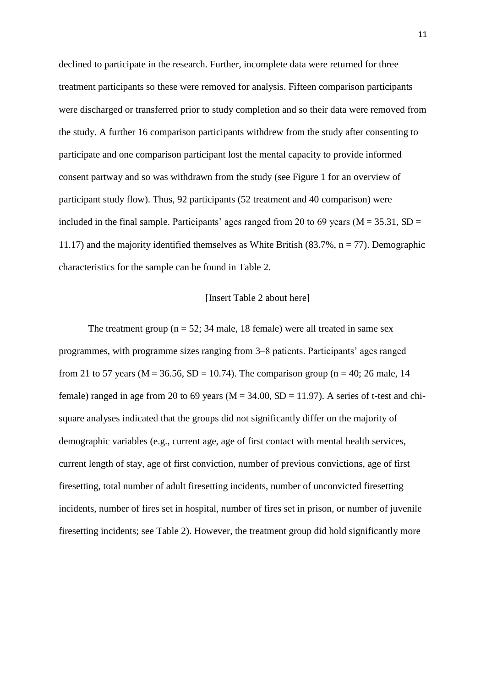declined to participate in the research. Further, incomplete data were returned for three treatment participants so these were removed for analysis. Fifteen comparison participants were discharged or transferred prior to study completion and so their data were removed from the study. A further 16 comparison participants withdrew from the study after consenting to participate and one comparison participant lost the mental capacity to provide informed consent partway and so was withdrawn from the study (see Figure 1 for an overview of participant study flow). Thus, 92 participants (52 treatment and 40 comparison) were included in the final sample. Participants' ages ranged from 20 to 69 years ( $M = 35.31$ ,  $SD =$ 11.17) and the majority identified themselves as White British  $(83.7\% , n = 77)$ . Demographic characteristics for the sample can be found in Table 2.

#### [Insert Table 2 about here]

The treatment group ( $n = 52$ ; 34 male, 18 female) were all treated in same sex programmes, with programme sizes ranging from 3–8 patients. Participants' ages ranged from 21 to 57 years ( $M = 36.56$ ,  $SD = 10.74$ ). The comparison group (n = 40; 26 male, 14 female) ranged in age from 20 to 69 years ( $M = 34.00$ ,  $SD = 11.97$ ). A series of t-test and chisquare analyses indicated that the groups did not significantly differ on the majority of demographic variables (e.g., current age, age of first contact with mental health services, current length of stay, age of first conviction, number of previous convictions, age of first firesetting, total number of adult firesetting incidents, number of unconvicted firesetting incidents, number of fires set in hospital, number of fires set in prison, or number of juvenile firesetting incidents; see Table 2). However, the treatment group did hold significantly more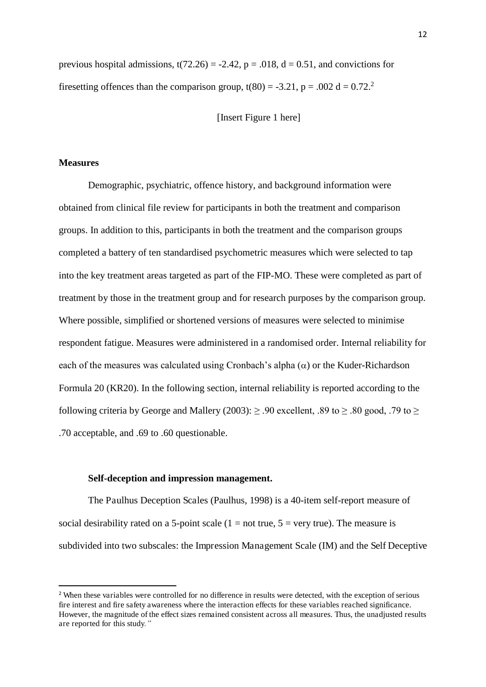previous hospital admissions,  $t(72.26) = -2.42$ ,  $p = .018$ ,  $d = 0.51$ , and convictions for firesetting offences than the comparison group,  $t(80) = -3.21$ ,  $p = .002$  d = 0.72.<sup>2</sup>

[Insert Figure 1 here]

#### **Measures**

 $\overline{a}$ 

Demographic, psychiatric, offence history, and background information were obtained from clinical file review for participants in both the treatment and comparison groups. In addition to this, participants in both the treatment and the comparison groups completed a battery of ten standardised psychometric measures which were selected to tap into the key treatment areas targeted as part of the FIP-MO. These were completed as part of treatment by those in the treatment group and for research purposes by the comparison group. Where possible, simplified or shortened versions of measures were selected to minimise respondent fatigue. Measures were administered in a randomised order. Internal reliability for each of the measures was calculated using Cronbach's alpha  $(\alpha)$  or the Kuder-Richardson Formula 20 (KR20). In the following section, internal reliability is reported according to the following criteria by George and Mallery (2003):  $\geq .90$  excellent, .89 to  $\geq .80$  good, .79 to  $\geq$ .70 acceptable, and .69 to .60 questionable.

#### **Self-deception and impression management.**

The Paulhus Deception Scales (Paulhus, 1998) is a 40-item self-report measure of social desirability rated on a 5-point scale  $(1 = not true, 5 = very true)$ . The measure is subdivided into two subscales: the Impression Management Scale (IM) and the Self Deceptive

<sup>&</sup>lt;sup>2</sup> When these variables were controlled for no difference in results were detected, with the exception of serious fire interest and fire safety awareness where the interaction effects for these variables reached significance. However, the magnitude of the effect sizes remained consistent across all measures. Thus, the unadjusted results are reported for this study*."*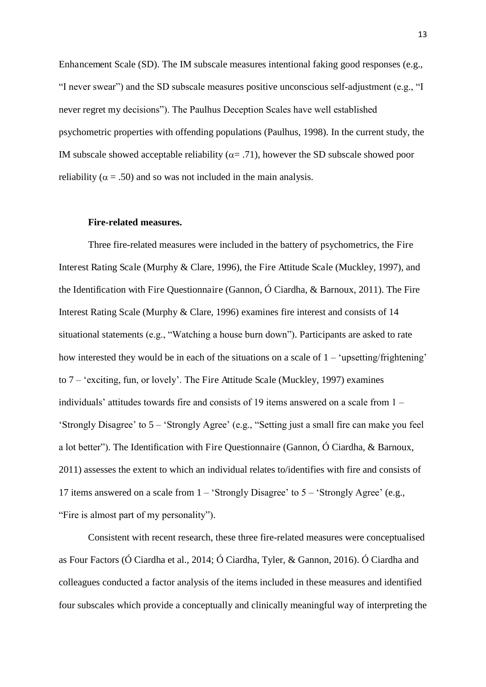Enhancement Scale (SD). The IM subscale measures intentional faking good responses (e.g., "I never swear") and the SD subscale measures positive unconscious self-adjustment (e.g., "I never regret my decisions"). The Paulhus Deception Scales have well established psychometric properties with offending populations (Paulhus, 1998). In the current study, the IM subscale showed acceptable reliability ( $\alpha$ = .71), however the SD subscale showed poor reliability ( $\alpha = .50$ ) and so was not included in the main analysis.

#### **Fire-related measures.**

Three fire-related measures were included in the battery of psychometrics, the Fire Interest Rating Scale (Murphy & Clare, 1996), the Fire Attitude Scale (Muckley, 1997), and the Identification with Fire Questionnaire (Gannon, Ó Ciardha, & Barnoux, 2011). The Fire Interest Rating Scale (Murphy & Clare, 1996) examines fire interest and consists of 14 situational statements (e.g., "Watching a house burn down"). Participants are asked to rate how interested they would be in each of the situations on a scale of  $1 - \text{'upsetting/frightening'}$ to 7 – 'exciting, fun, or lovely'. The Fire Attitude Scale (Muckley, 1997) examines individuals' attitudes towards fire and consists of 19 items answered on a scale from 1 – 'Strongly Disagree' to 5 – 'Strongly Agree' (e.g., "Setting just a small fire can make you feel a lot better"). The Identification with Fire Questionnaire (Gannon, Ó Ciardha, & Barnoux, 2011) assesses the extent to which an individual relates to/identifies with fire and consists of 17 items answered on a scale from 1 – 'Strongly Disagree' to 5 – 'Strongly Agree' (e.g., "Fire is almost part of my personality").

Consistent with recent research, these three fire-related measures were conceptualised as Four Factors (Ó Ciardha et al., 2014; Ó Ciardha, Tyler, & Gannon, 2016). Ó Ciardha and colleagues conducted a factor analysis of the items included in these measures and identified four subscales which provide a conceptually and clinically meaningful way of interpreting the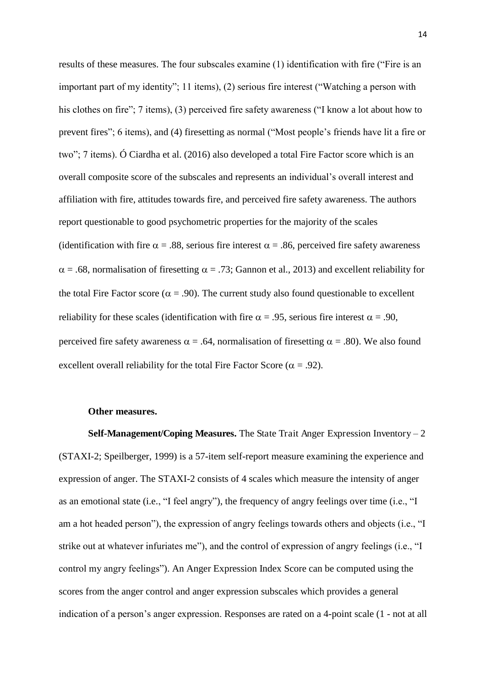results of these measures. The four subscales examine (1) identification with fire ("Fire is an important part of my identity"; 11 items), (2) serious fire interest ("Watching a person with his clothes on fire"; 7 items), (3) perceived fire safety awareness ("I know a lot about how to prevent fires"; 6 items), and (4) firesetting as normal ("Most people's friends have lit a fire or two"; 7 items). Ó Ciardha et al. (2016) also developed a total Fire Factor score which is an overall composite score of the subscales and represents an individual's overall interest and affiliation with fire, attitudes towards fire, and perceived fire safety awareness. The authors report questionable to good psychometric properties for the majority of the scales (identification with fire  $\alpha = .88$ , serious fire interest  $\alpha = .86$ , perceived fire safety awareness  $\alpha$  = .68, normalisation of firesetting  $\alpha$  = .73; Gannon et al., 2013) and excellent reliability for the total Fire Factor score ( $\alpha = .90$ ). The current study also found questionable to excellent reliability for these scales (identification with fire  $\alpha = .95$ , serious fire interest  $\alpha = .90$ , perceived fire safety awareness  $\alpha = .64$ , normalisation of firesetting  $\alpha = .80$ ). We also found excellent overall reliability for the total Fire Factor Score ( $\alpha = .92$ ).

#### **Other measures.**

**Self-Management/Coping Measures.** The State Trait Anger Expression Inventory *–* 2 (STAXI-2; Speilberger, 1999) is a 57-item self-report measure examining the experience and expression of anger. The STAXI-2 consists of 4 scales which measure the intensity of anger as an emotional state (i.e., "I feel angry"), the frequency of angry feelings over time (i.e., "I am a hot headed person"), the expression of angry feelings towards others and objects (i.e., "I strike out at whatever infuriates me"), and the control of expression of angry feelings (i.e., "I control my angry feelings"). An Anger Expression Index Score can be computed using the scores from the anger control and anger expression subscales which provides a general indication of a person's anger expression. Responses are rated on a 4-point scale (1 - not at all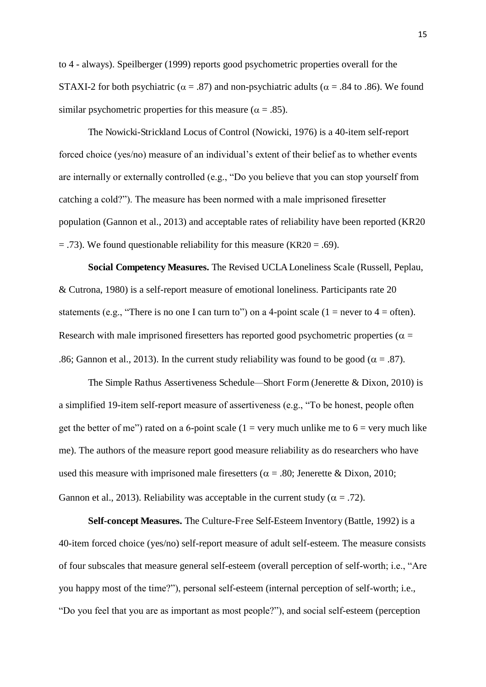to 4 - always). Speilberger (1999) reports good psychometric properties overall for the STAXI-2 for both psychiatric ( $\alpha = .87$ ) and non-psychiatric adults ( $\alpha = .84$  to .86). We found similar psychometric properties for this measure ( $\alpha = .85$ ).

The Nowicki-Strickland Locus of Control (Nowicki, 1976) is a 40-item self-report forced choice (yes/no) measure of an individual's extent of their belief as to whether events are internally or externally controlled (e.g., "Do you believe that you can stop yourself from catching a cold?"). The measure has been normed with a male imprisoned firesetter population (Gannon et al., 2013) and acceptable rates of reliability have been reported (KR20  $=$  .73). We found questionable reliability for this measure (KR20  $=$  .69).

**Social Competency Measures.** The Revised UCLA Loneliness Scale (Russell, Peplau, & Cutrona, 1980) is a self-report measure of emotional loneliness. Participants rate 20 statements (e.g., "There is no one I can turn to") on a 4-point scale (1 = never to 4 = often). Research with male imprisoned firesetters has reported good psychometric properties ( $\alpha$  = .86; Gannon et al., 2013). In the current study reliability was found to be good ( $\alpha = .87$ ).

The Simple Rathus Assertiveness Schedule*—*Short Form (Jenerette & Dixon, 2010) is a simplified 19-item self-report measure of assertiveness (e.g., "To be honest, people often get the better of me") rated on a 6-point scale (1 = very much unlike me to  $6$  = very much like me). The authors of the measure report good measure reliability as do researchers who have used this measure with imprisoned male firesetters ( $\alpha = .80$ ; Jenerette & Dixon, 2010; Gannon et al., 2013). Reliability was acceptable in the current study ( $\alpha = .72$ ).

**Self-concept Measures.** The Culture-Free Self-Esteem Inventory (Battle, 1992) is a 40-item forced choice (yes/no) self-report measure of adult self-esteem. The measure consists of four subscales that measure general self-esteem (overall perception of self-worth; i.e., "Are you happy most of the time?"), personal self-esteem (internal perception of self-worth; i.e., "Do you feel that you are as important as most people?"), and social self-esteem (perception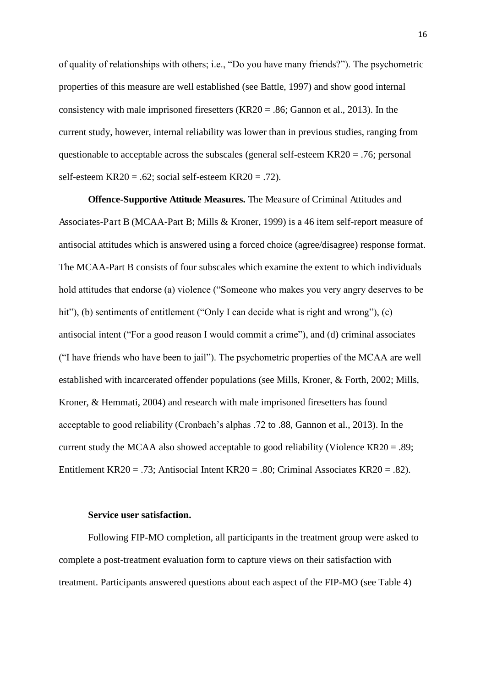of quality of relationships with others; i.e., "Do you have many friends?"). The psychometric properties of this measure are well established (see Battle, 1997) and show good internal consistency with male imprisoned firesetters  $(KR20 = .86;$  Gannon et al., 2013). In the current study, however, internal reliability was lower than in previous studies, ranging from questionable to acceptable across the subscales (general self-esteem KR20 = .76; personal self-esteem KR20 = .62; social self-esteem KR20 = .72).

 **Offence-Supportive Attitude Measures.** The Measure of Criminal Attitudes and Associates-Part B (MCAA-Part B; Mills & Kroner, 1999) is a 46 item self-report measure of antisocial attitudes which is answered using a forced choice (agree/disagree) response format. The MCAA-Part B consists of four subscales which examine the extent to which individuals hold attitudes that endorse (a) violence ("Someone who makes you very angry deserves to be hit"), (b) sentiments of entitlement ("Only I can decide what is right and wrong"), (c) antisocial intent ("For a good reason I would commit a crime"), and (d) criminal associates ("I have friends who have been to jail"). The psychometric properties of the MCAA are well established with incarcerated offender populations (see Mills, Kroner, & Forth, 2002; Mills, Kroner, & Hemmati, 2004) and research with male imprisoned firesetters has found acceptable to good reliability (Cronbach's alphas .72 to .88, Gannon et al., 2013). In the current study the MCAA also showed acceptable to good reliability (Violence KR20 = .89; Entitlement KR20 = .73; Antisocial Intent KR20 = .80; Criminal Associates KR20 = .82).

#### **Service user satisfaction.**

Following FIP-MO completion, all participants in the treatment group were asked to complete a post-treatment evaluation form to capture views on their satisfaction with treatment. Participants answered questions about each aspect of the FIP-MO (see Table 4)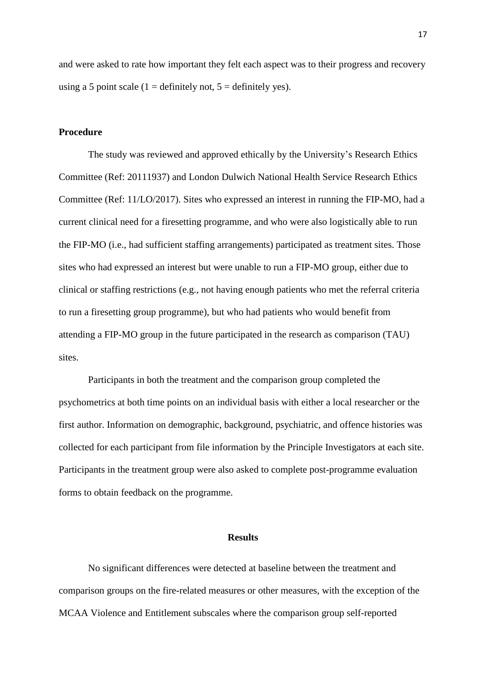and were asked to rate how important they felt each aspect was to their progress and recovery using a 5 point scale (1 = definitely not,  $5 =$  definitely yes).

#### **Procedure**

The study was reviewed and approved ethically by the University's Research Ethics Committee (Ref: 20111937) and London Dulwich National Health Service Research Ethics Committee (Ref: 11/LO/2017). Sites who expressed an interest in running the FIP-MO, had a current clinical need for a firesetting programme, and who were also logistically able to run the FIP-MO (i.e., had sufficient staffing arrangements) participated as treatment sites. Those sites who had expressed an interest but were unable to run a FIP-MO group, either due to clinical or staffing restrictions (e.g., not having enough patients who met the referral criteria to run a firesetting group programme), but who had patients who would benefit from attending a FIP-MO group in the future participated in the research as comparison (TAU) sites.

Participants in both the treatment and the comparison group completed the psychometrics at both time points on an individual basis with either a local researcher or the first author. Information on demographic, background, psychiatric, and offence histories was collected for each participant from file information by the Principle Investigators at each site. Participants in the treatment group were also asked to complete post-programme evaluation forms to obtain feedback on the programme.

#### **Results**

No significant differences were detected at baseline between the treatment and comparison groups on the fire-related measures or other measures, with the exception of the MCAA Violence and Entitlement subscales where the comparison group self-reported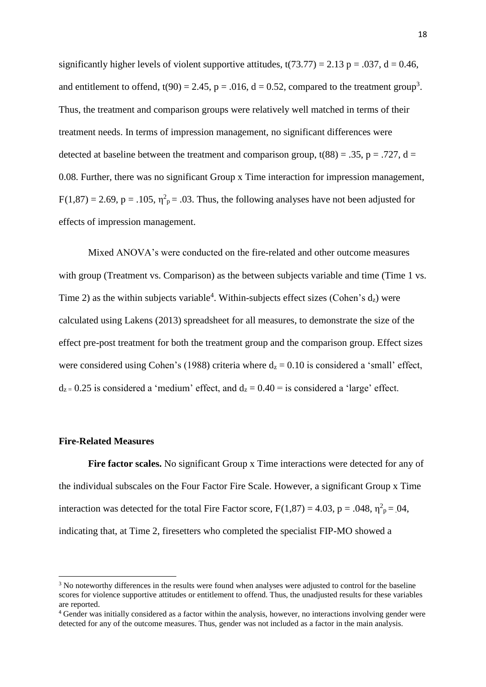significantly higher levels of violent supportive attitudes,  $t(73.77) = 2.13$  p = .037, d = 0.46, and entitlement to offend,  $t(90) = 2.45$ ,  $p = .016$ ,  $d = 0.52$ , compared to the treatment group<sup>3</sup>. Thus, the treatment and comparison groups were relatively well matched in terms of their treatment needs. In terms of impression management, no significant differences were detected at baseline between the treatment and comparison group,  $t(88) = .35$ ,  $p = .727$ ,  $d =$ 0.08. Further, there was no significant Group x Time interaction for impression management,  $F(1,87) = 2.69$ , p = .105,  $\eta^2$ <sub>p</sub> = .03. Thus, the following analyses have not been adjusted for effects of impression management.

Mixed ANOVA's were conducted on the fire-related and other outcome measures with group (Treatment vs. Comparison) as the between subjects variable and time (Time 1 vs. Time 2) as the within subjects variable<sup>4</sup>. Within-subjects effect sizes (Cohen's  $d_z$ ) were calculated using Lakens (2013) spreadsheet for all measures, to demonstrate the size of the effect pre-post treatment for both the treatment group and the comparison group. Effect sizes were considered using Cohen's (1988) criteria where  $d_z = 0.10$  is considered a 'small' effect,  $d_{z} = 0.25$  is considered a 'medium' effect, and  $d_{z} = 0.40 =$  is considered a 'large' effect.

#### **Fire-Related Measures**

 $\overline{a}$ 

Fire factor scales. No significant Group x Time interactions were detected for any of the individual subscales on the Four Factor Fire Scale. However, a significant Group x Time interaction was detected for the total Fire Factor score,  $F(1,87) = 4.03$ ,  $p = .048$ ,  $\eta^2 p = .04$ , indicating that, at Time 2, firesetters who completed the specialist FIP-MO showed a

<sup>&</sup>lt;sup>3</sup> No noteworthy differences in the results were found when analyses were adjusted to control for the baseline scores for violence supportive attitudes or entitlement to offend. Thus, the unadjusted results for these variables are reported.

<sup>4</sup> Gender was initially considered as a factor within the analysis, however, no interactions involving gender were detected for any of the outcome measures. Thus, gender was not included as a factor in the main analysis.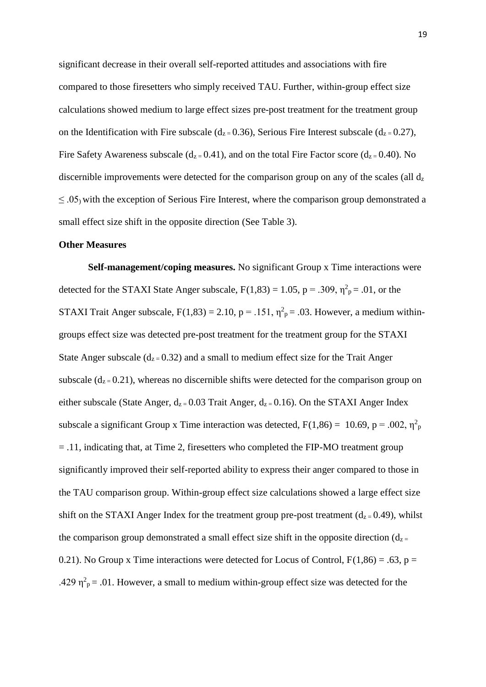significant decrease in their overall self-reported attitudes and associations with fire compared to those firesetters who simply received TAU. Further, within-group effect size calculations showed medium to large effect sizes pre-post treatment for the treatment group on the Identification with Fire subscale ( $d_{z=}$  0.36), Serious Fire Interest subscale ( $d_{z=}$  0.27), Fire Safety Awareness subscale  $(d_{z=0.41})$ , and on the total Fire Factor score  $(d_{z=0.40})$ . No discernible improvements were detected for the comparison group on any of the scales (all  $d<sub>z</sub>$ )  $\leq$  .05) with the exception of Serious Fire Interest, where the comparison group demonstrated a small effect size shift in the opposite direction (See Table 3).

#### **Other Measures**

**Self-management/coping measures.** No significant Group x Time interactions were detected for the STAXI State Anger subscale,  $F(1,83) = 1.05$ ,  $p = .309$ ,  $\eta^2 p = .01$ , or the STAXI Trait Anger subscale,  $F(1,83) = 2.10$ ,  $p = .151$ ,  $\eta^2 p = .03$ . However, a medium withingroups effect size was detected pre-post treatment for the treatment group for the STAXI State Anger subscale  $(d_{z}=0.32)$  and a small to medium effect size for the Trait Anger subscale  $(d_{z=0.21})$ , whereas no discernible shifts were detected for the comparison group on either subscale (State Anger,  $d_{z}=0.03$  Trait Anger,  $d_{z}=0.16$ ). On the STAXI Anger Index subscale a significant Group x Time interaction was detected,  $F(1,86) = 10.69$ ,  $p = .002$ ,  $\eta_p^2$ = .11, indicating that, at Time 2, firesetters who completed the FIP-MO treatment group significantly improved their self-reported ability to express their anger compared to those in the TAU comparison group. Within-group effect size calculations showed a large effect size shift on the STAXI Anger Index for the treatment group pre-post treatment  $(d_{z=0.49})$ , whilst the comparison group demonstrated a small effect size shift in the opposite direction  $(d_{z} =$ 0.21). No Group x Time interactions were detected for Locus of Control,  $F(1,86) = .63$ ,  $p =$ .429  $\eta^2$ <sub>p</sub> = .01. However, a small to medium within-group effect size was detected for the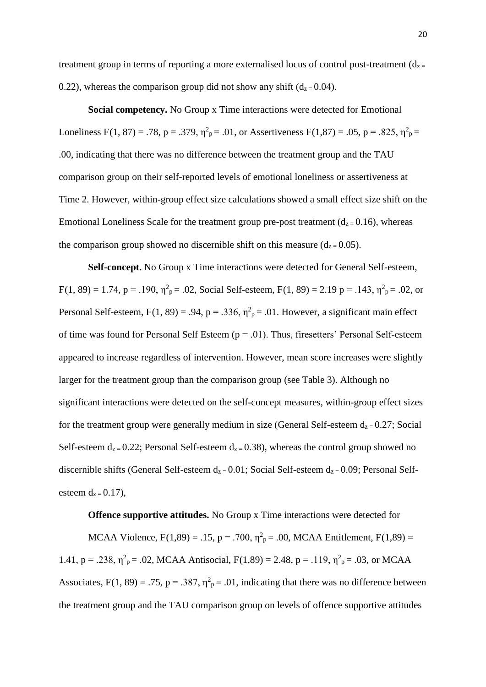treatment group in terms of reporting a more externalised locus of control post-treatment  $(d_{z} =$ 0.22), whereas the comparison group did not show any shift  $(d_{z}=0.04)$ .

**Social competency.** No Group x Time interactions were detected for Emotional Loneliness F(1, 87) = .78, p = .379,  $\eta^2 p = .01$ , or Assertiveness F(1,87) = .05, p = .825,  $\eta^2 p =$ .00, indicating that there was no difference between the treatment group and the TAU comparison group on their self-reported levels of emotional loneliness or assertiveness at Time 2. However, within-group effect size calculations showed a small effect size shift on the Emotional Loneliness Scale for the treatment group pre-post treatment  $(d_{z}=0.16)$ , whereas the comparison group showed no discernible shift on this measure  $(d_{z}=0.05)$ .

**Self-concept.** No Group x Time interactions were detected for General Self-esteem,  $F(1, 89) = 1.74$ ,  $p = .190$ ,  $\eta_{p}^{2} = .02$ , Social Self-esteem,  $F(1, 89) = 2.19$   $p = .143$ ,  $\eta_{p}^{2} = .02$ , or Personal Self-esteem,  $F(1, 89) = .94$ ,  $p = .336$ ,  $\eta^2 p = .01$ . However, a significant main effect of time was found for Personal Self Esteem  $(p = .01)$ . Thus, firesetters' Personal Self-esteem appeared to increase regardless of intervention. However, mean score increases were slightly larger for the treatment group than the comparison group (see Table 3). Although no significant interactions were detected on the self-concept measures, within-group effect sizes for the treatment group were generally medium in size (General Self-esteem  $d_{z}=0.27$ ; Social Self-esteem  $d_{z=}$  0.22; Personal Self-esteem  $d_{z=}$  0.38), whereas the control group showed no discernible shifts (General Self-esteem  $d_{z} = 0.01$ ; Social Self-esteem  $d_{z} = 0.09$ ; Personal Selfesteem  $d_{z} = 0.17$ ),

**Offence supportive attitudes.** No Group x Time interactions were detected for

MCAA Violence, F(1,89) = .15, p = .700,  $\eta_{p}^{2} = .00$ , MCAA Entitlement, F(1,89) = 1.41, p = .238,  $\eta^2$ <sub>p</sub> = .02, MCAA Antisocial, F(1,89) = 2.48, p = .119,  $\eta^2$ <sub>p</sub> = .03, or MCAA Associates, F(1, 89) = .75, p = .387,  $\eta^2$ <sub>p</sub> = .01, indicating that there was no difference between the treatment group and the TAU comparison group on levels of offence supportive attitudes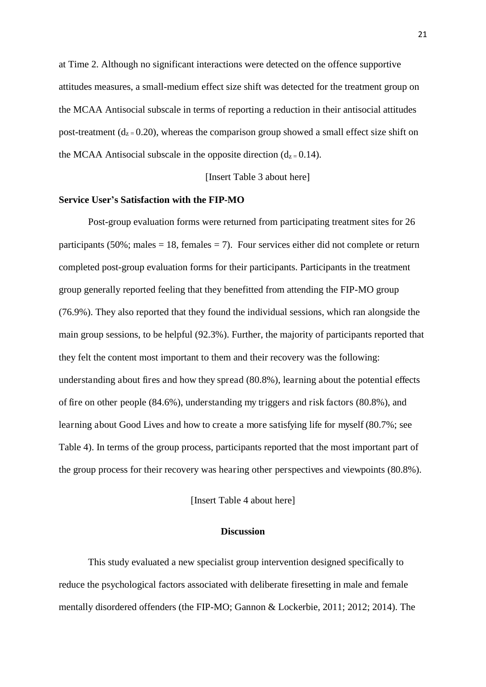at Time 2. Although no significant interactions were detected on the offence supportive attitudes measures, a small-medium effect size shift was detected for the treatment group on the MCAA Antisocial subscale in terms of reporting a reduction in their antisocial attitudes post-treatment ( $d_{z} = 0.20$ ), whereas the comparison group showed a small effect size shift on the MCAA Antisocial subscale in the opposite direction  $(d_{z=0.14})$ .

[Insert Table 3 about here]

#### **Service User's Satisfaction with the FIP-MO**

 Post-group evaluation forms were returned from participating treatment sites for 26 participants (50%; males  $= 18$ , females  $= 7$ ). Four services either did not complete or return completed post-group evaluation forms for their participants. Participants in the treatment group generally reported feeling that they benefitted from attending the FIP-MO group (76.9%). They also reported that they found the individual sessions, which ran alongside the main group sessions, to be helpful (92.3%). Further, the majority of participants reported that they felt the content most important to them and their recovery was the following: understanding about fires and how they spread (80.8%), learning about the potential effects of fire on other people (84.6%), understanding my triggers and risk factors (80.8%), and learning about Good Lives and how to create a more satisfying life for myself (80.7%; see Table 4). In terms of the group process, participants reported that the most important part of the group process for their recovery was hearing other perspectives and viewpoints (80.8%).

[Insert Table 4 about here]

#### **Discussion**

This study evaluated a new specialist group intervention designed specifically to reduce the psychological factors associated with deliberate firesetting in male and female mentally disordered offenders (the FIP-MO; Gannon & Lockerbie, 2011; 2012; 2014). The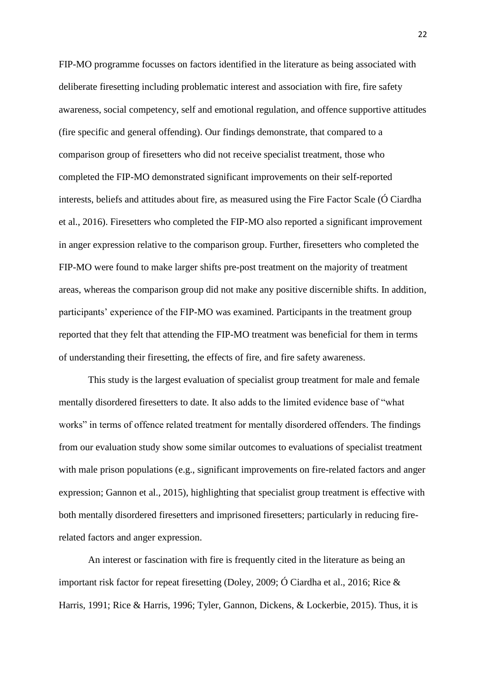FIP-MO programme focusses on factors identified in the literature as being associated with deliberate firesetting including problematic interest and association with fire, fire safety awareness, social competency, self and emotional regulation, and offence supportive attitudes (fire specific and general offending). Our findings demonstrate, that compared to a comparison group of firesetters who did not receive specialist treatment, those who completed the FIP-MO demonstrated significant improvements on their self-reported interests, beliefs and attitudes about fire, as measured using the Fire Factor Scale (Ó Ciardha et al., 2016). Firesetters who completed the FIP-MO also reported a significant improvement in anger expression relative to the comparison group. Further, firesetters who completed the FIP-MO were found to make larger shifts pre-post treatment on the majority of treatment areas, whereas the comparison group did not make any positive discernible shifts. In addition, participants' experience of the FIP-MO was examined. Participants in the treatment group reported that they felt that attending the FIP-MO treatment was beneficial for them in terms of understanding their firesetting, the effects of fire, and fire safety awareness.

This study is the largest evaluation of specialist group treatment for male and female mentally disordered firesetters to date. It also adds to the limited evidence base of "what works" in terms of offence related treatment for mentally disordered offenders. The findings from our evaluation study show some similar outcomes to evaluations of specialist treatment with male prison populations (e.g., significant improvements on fire-related factors and anger expression; Gannon et al., 2015), highlighting that specialist group treatment is effective with both mentally disordered firesetters and imprisoned firesetters; particularly in reducing firerelated factors and anger expression.

An interest or fascination with fire is frequently cited in the literature as being an important risk factor for repeat firesetting (Doley, 2009; Ó Ciardha et al., 2016; Rice & Harris, 1991; Rice & Harris, 1996; Tyler, Gannon, Dickens, & Lockerbie, 2015). Thus, it is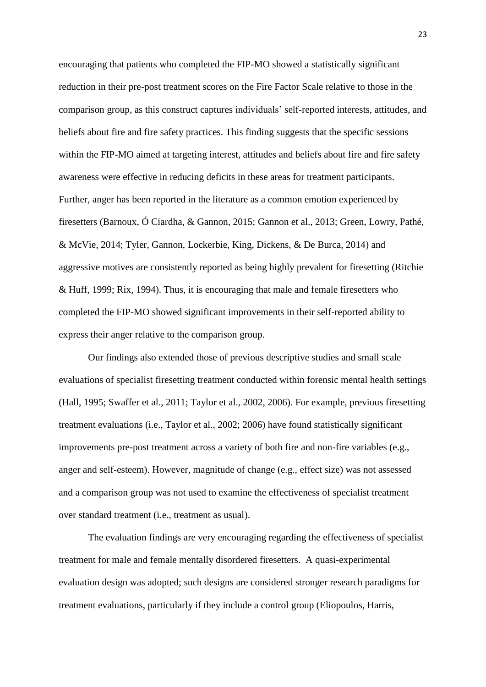encouraging that patients who completed the FIP-MO showed a statistically significant reduction in their pre-post treatment scores on the Fire Factor Scale relative to those in the comparison group, as this construct captures individuals' self-reported interests, attitudes, and beliefs about fire and fire safety practices. This finding suggests that the specific sessions within the FIP-MO aimed at targeting interest, attitudes and beliefs about fire and fire safety awareness were effective in reducing deficits in these areas for treatment participants. Further, anger has been reported in the literature as a common emotion experienced by firesetters (Barnoux, Ó Ciardha, & Gannon, 2015; Gannon et al., 2013; Green, Lowry, Pathé, & McVie, 2014; Tyler, Gannon, Lockerbie, King, Dickens, & De Burca, 2014) and aggressive motives are consistently reported as being highly prevalent for firesetting (Ritchie & Huff, 1999; Rix, 1994). Thus, it is encouraging that male and female firesetters who completed the FIP-MO showed significant improvements in their self-reported ability to express their anger relative to the comparison group.

Our findings also extended those of previous descriptive studies and small scale evaluations of specialist firesetting treatment conducted within forensic mental health settings (Hall, 1995; Swaffer et al., 2011; Taylor et al., 2002, 2006). For example, previous firesetting treatment evaluations (i.e., Taylor et al., 2002; 2006) have found statistically significant improvements pre-post treatment across a variety of both fire and non-fire variables (e.g., anger and self-esteem). However, magnitude of change (e.g., effect size) was not assessed and a comparison group was not used to examine the effectiveness of specialist treatment over standard treatment (i.e., treatment as usual).

The evaluation findings are very encouraging regarding the effectiveness of specialist treatment for male and female mentally disordered firesetters. A quasi-experimental evaluation design was adopted; such designs are considered stronger research paradigms for treatment evaluations, particularly if they include a control group (Eliopoulos, Harris,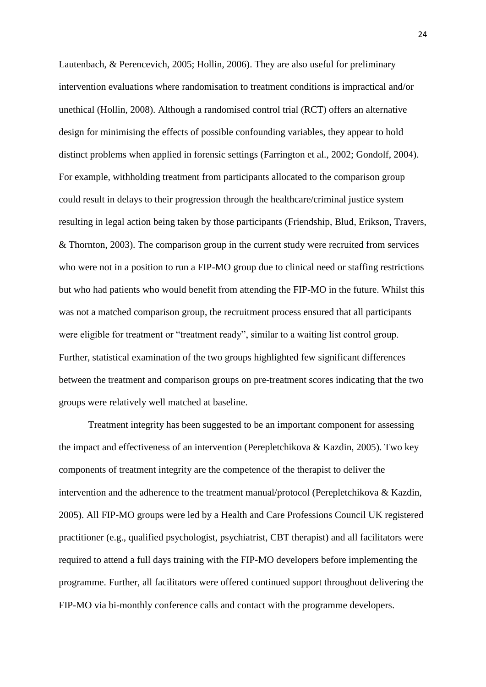Lautenbach, & Perencevich, 2005; Hollin, 2006). They are also useful for preliminary intervention evaluations where randomisation to treatment conditions is impractical and/or unethical (Hollin, 2008). Although a randomised control trial (RCT) offers an alternative design for minimising the effects of possible confounding variables, they appear to hold distinct problems when applied in forensic settings (Farrington et al., 2002; Gondolf, 2004). For example, withholding treatment from participants allocated to the comparison group could result in delays to their progression through the healthcare/criminal justice system resulting in legal action being taken by those participants (Friendship, Blud, Erikson, Travers, & Thornton, 2003). The comparison group in the current study were recruited from services who were not in a position to run a FIP-MO group due to clinical need or staffing restrictions but who had patients who would benefit from attending the FIP-MO in the future. Whilst this was not a matched comparison group, the recruitment process ensured that all participants were eligible for treatment or "treatment ready", similar to a waiting list control group. Further, statistical examination of the two groups highlighted few significant differences between the treatment and comparison groups on pre-treatment scores indicating that the two groups were relatively well matched at baseline.

Treatment integrity has been suggested to be an important component for assessing the impact and effectiveness of an intervention (Perepletchikova & Kazdin, 2005). Two key components of treatment integrity are the competence of the therapist to deliver the intervention and the adherence to the treatment manual/protocol (Perepletchikova & Kazdin, 2005). All FIP-MO groups were led by a Health and Care Professions Council UK registered practitioner (e.g., qualified psychologist, psychiatrist, CBT therapist) and all facilitators were required to attend a full days training with the FIP-MO developers before implementing the programme. Further, all facilitators were offered continued support throughout delivering the FIP-MO via bi-monthly conference calls and contact with the programme developers.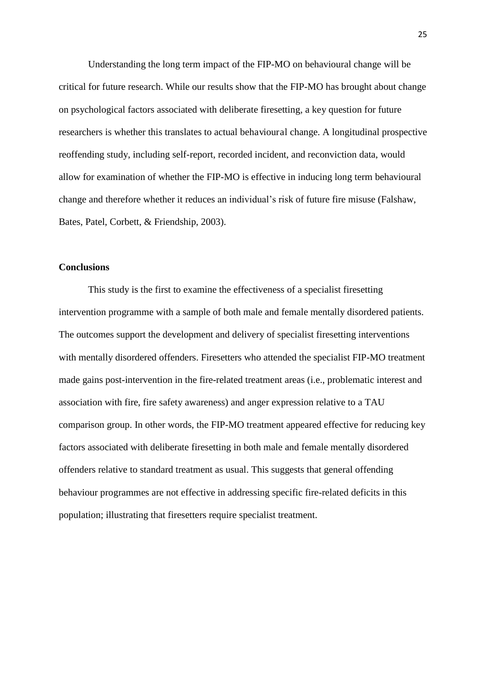Understanding the long term impact of the FIP-MO on behavioural change will be critical for future research. While our results show that the FIP-MO has brought about change on psychological factors associated with deliberate firesetting, a key question for future researchers is whether this translates to actual behavioural change. A longitudinal prospective reoffending study, including self-report, recorded incident, and reconviction data, would allow for examination of whether the FIP-MO is effective in inducing long term behavioural change and therefore whether it reduces an individual's risk of future fire misuse (Falshaw, Bates, Patel, Corbett, & Friendship, 2003).

#### **Conclusions**

This study is the first to examine the effectiveness of a specialist firesetting intervention programme with a sample of both male and female mentally disordered patients. The outcomes support the development and delivery of specialist firesetting interventions with mentally disordered offenders. Firesetters who attended the specialist FIP-MO treatment made gains post-intervention in the fire-related treatment areas (i.e., problematic interest and association with fire, fire safety awareness) and anger expression relative to a TAU comparison group. In other words, the FIP-MO treatment appeared effective for reducing key factors associated with deliberate firesetting in both male and female mentally disordered offenders relative to standard treatment as usual. This suggests that general offending behaviour programmes are not effective in addressing specific fire-related deficits in this population; illustrating that firesetters require specialist treatment.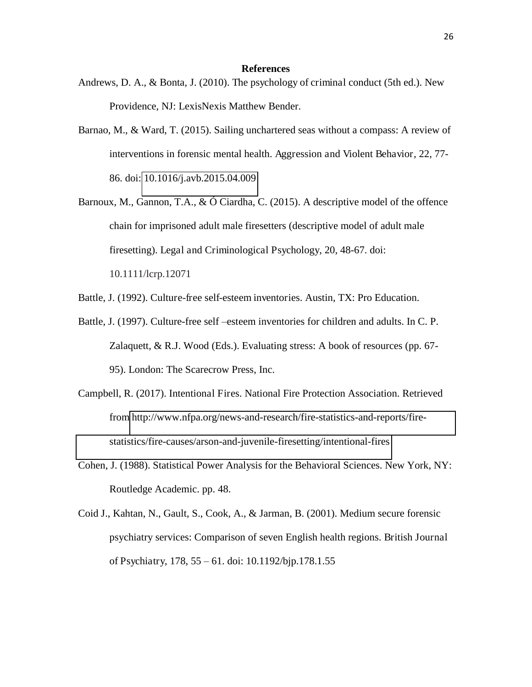#### **References**

- Andrews, D. A., & Bonta, J. (2010). The psychology of criminal conduct (5th ed.). New Providence, NJ: LexisNexis Matthew Bender.
- Barnao, M., & Ward, T. (2015). Sailing unchartered seas without a compass: A review of interventions in forensic mental health. Aggression and Violent Behavior, 22, 77- 86. doi: [10.1016/j.avb.2015.04.009](https://doi.org/10.1016/j.avb.2015.04.009)
- Barnoux, M., Gannon, T.A., & Ó Ciardha, C. (2015). A descriptive model of the offence chain for imprisoned adult male firesetters (descriptive model of adult male firesetting). Legal and Criminological Psychology, 20, 48-67. doi: 10.1111/lcrp.12071
- Battle, J. (1992). Culture-free self-esteem inventories. Austin, TX: Pro Education.
- Battle, J. (1997). Culture-free self –esteem inventories for children and adults. In C. P. Zalaquett, & R.J. Wood (Eds.). Evaluating stress: A book of resources (pp. 67- 95). London: The Scarecrow Press, Inc.
- Campbell, R. (2017). Intentional Fires. National Fire Protection Association. Retrieved from [http://www.nfpa.org/news-and-research/fire-statistics-and-reports/fire](http://www.nfpa.org/news-and-research/fire-statistics-and-reports/fire-statistics/fire-causes/arson-and-juvenile-firesetting/intentional-fires)[statistics/fire-causes/arson-and-juvenile-firesetting/intentional-fires](http://www.nfpa.org/news-and-research/fire-statistics-and-reports/fire-statistics/fire-causes/arson-and-juvenile-firesetting/intentional-fires)
- Cohen, J. (1988). Statistical Power Analysis for the Behavioral Sciences. New York, NY: Routledge Academic. pp. 48.
- Coid J., Kahtan, N., Gault, S., Cook, A., & Jarman, B. (2001). Medium secure forensic psychiatry services: Comparison of seven English health regions. British Journal of Psychiatry, 178, 55 – 61. doi: 10.1192/bjp.178.1.55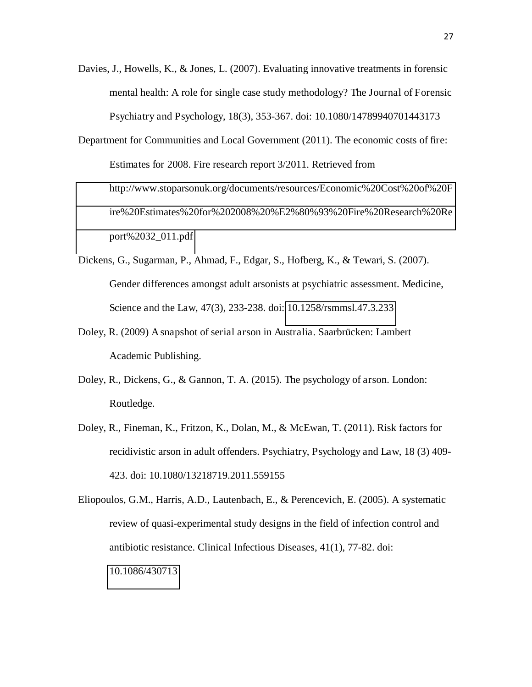- Davies, J., Howells, K., & Jones, L. (2007). Evaluating innovative treatments in forensic mental health: A role for single case study methodology? The Journal of Forensic Psychiatry and Psychology, 18(3), 353-367. doi: 10.1080/14789940701443173
- Department for Communities and Local Government (2011). The economic costs of fire: Estimates for 2008. Fire research report 3/2011. Retrieved from [http://www.stoparsonuk.org/documents/resources/Economic%20Cost%20of%20F](http://www.stoparsonuk.org/documents/resources/Economic%20Cost%20of%20Fire%20Estimates%20for%202008%20%E2%80%93%20Fire%20Research%20Report%2032_011.pdf) [ire%20Estimates%20for%202008%20%E2%80%93%20Fire%20Research%20Re](http://www.stoparsonuk.org/documents/resources/Economic%20Cost%20of%20Fire%20Estimates%20for%202008%20%E2%80%93%20Fire%20Research%20Report%2032_011.pdf) [port%2032\\_011.pdf](http://www.stoparsonuk.org/documents/resources/Economic%20Cost%20of%20Fire%20Estimates%20for%202008%20%E2%80%93%20Fire%20Research%20Report%2032_011.pdf)
- Dickens, G., Sugarman, P., Ahmad, F., Edgar, S., Hofberg, K., & Tewari, S. (2007). Gender differences amongst adult arsonists at psychiatric assessment. Medicine, Science and the Law, 47(3), 233-238. doi: [10.1258/rsmmsl.47.3.233](https://doi-org.chain.kent.ac.uk/10.1258/rsmmsl.47.3.233)
- Doley, R. (2009) A snapshot of serial arson in Australia. Saarbrücken: Lambert Academic Publishing.
- Doley, R., Dickens, G., & Gannon, T. A. (2015). The psychology of arson. London: Routledge.
- Doley, R., Fineman, K., Fritzon, K., Dolan, M., & McEwan, T. (2011). Risk factors for recidivistic arson in adult offenders. Psychiatry, Psychology and Law, 18 (3) 409- 423. doi: 10.1080/13218719.2011.559155

Eliopoulos, G.M., Harris, A.D., Lautenbach, E., & Perencevich, E. (2005). A systematic review of quasi-experimental study designs in the field of infection control and antibiotic resistance. Clinical Infectious Diseases, 41(1), 77-82. doi: [10.1086/430713](https://doi-org.chain.kent.ac.uk/10.1086/430713)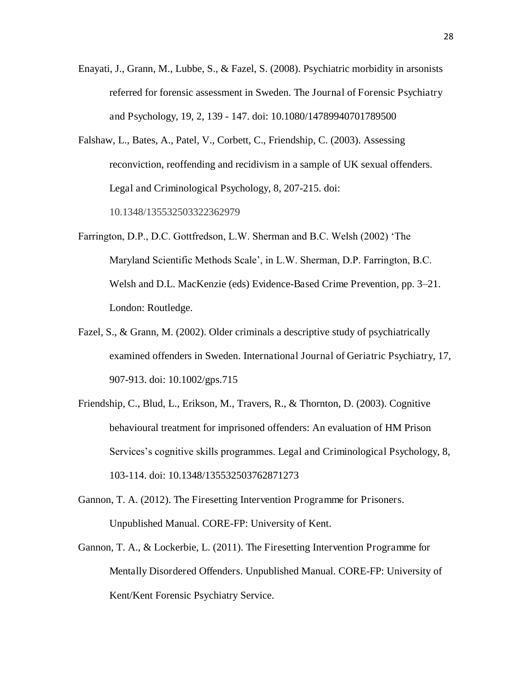- Enayati, J., Grann, M., Lubbe, S., & Fazel, S. (2008). Psychiatric morbidity in arsonists referred for forensic assessment in Sweden. The Journal of Forensic Psychiatry and Psychology, 19, 2, 139 - 147. doi: 10.1080/14789940701789500
- Falshaw, L., Bates, A., Patel, V., Corbett, C., Friendship, C. (2003). Assessing reconviction, reoffending and recidivism in a sample of UK sexual offenders. Legal and Criminological Psychology, 8, 207-215. doi: 10.1348/135532503322362979
- Farrington, D.P., D.C. Gottfredson, L.W. Sherman and B.C. Welsh (2002) 'The Maryland Scientific Methods Scale', in L.W. Sherman, D.P. Farrington, B.C. Welsh and D.L. MacKenzie (eds) Evidence-Based Crime Prevention, pp. 3–21. London: Routledge.
- Fazel, S., & Grann, M. (2002). Older criminals a descriptive study of psychiatrically examined offenders in Sweden. International Journal of Geriatric Psychiatry, 17, 907-913. doi: 10.1002/gps.715
- Friendship, C., Blud, L., Erikson, M., Travers, R., & Thornton, D. (2003). Cognitive behavioural treatment for imprisoned offenders: An evaluation of HM Prison Services's cognitive skills programmes. Legal and Criminological Psychology, 8, 103-114. doi: 10.1348/135532503762871273
- Gannon, T. A. (2012). The Firesetting Intervention Programme for Prisoners. Unpublished Manual. CORE-FP: University of Kent.
- Gannon, T. A., & Lockerbie, L. (2011). The Firesetting Intervention Programme for Mentally Disordered Offenders. Unpublished Manual. CORE-FP: University of Kent/Kent Forensic Psychiatry Service.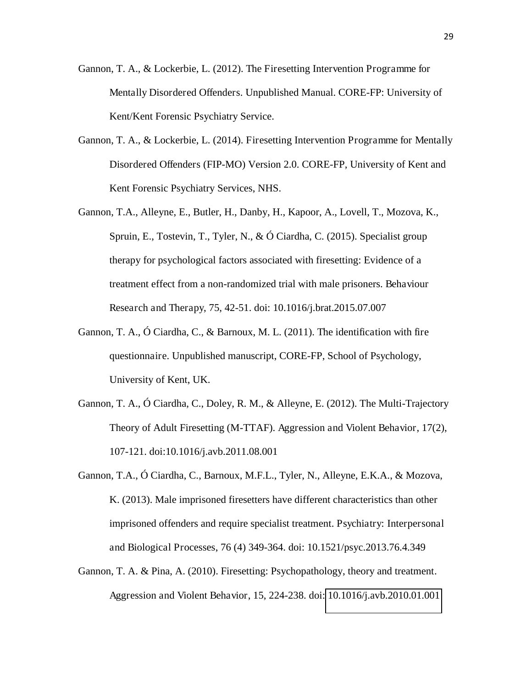- Gannon, T. A., & Lockerbie, L. (2012). The Firesetting Intervention Programme for Mentally Disordered Offenders. Unpublished Manual. CORE-FP: University of Kent/Kent Forensic Psychiatry Service.
- Gannon, T. A., & Lockerbie, L. (2014). Firesetting Intervention Programme for Mentally Disordered Offenders (FIP-MO) Version 2.0. CORE-FP, University of Kent and Kent Forensic Psychiatry Services, NHS.
- Gannon, T.A., Alleyne, E., Butler, H., Danby, H., Kapoor, A., Lovell, T., Mozova, K., Spruin, E., Tostevin, T., Tyler, N., & Ó Ciardha, C. (2015). Specialist group therapy for psychological factors associated with firesetting: Evidence of a treatment effect from a non-randomized trial with male prisoners. Behaviour Research and Therapy, 75, 42-51. doi: 10.1016/j.brat.2015.07.007
- Gannon, T. A., Ó Ciardha, C., & Barnoux, M. L. (2011). The identification with fire questionnaire. Unpublished manuscript, CORE-FP, School of Psychology, University of Kent, UK.
- Gannon, T. A., Ó Ciardha, C., Doley, R. M., & Alleyne, E. (2012). The Multi-Trajectory Theory of Adult Firesetting (M-TTAF). Aggression and Violent Behavior, 17(2), 107-121. doi:10.1016/j.avb.2011.08.001
- Gannon, T.A., Ó Ciardha, C., Barnoux, M.F.L., Tyler, N., Alleyne, E.K.A., & Mozova, K. (2013). Male imprisoned firesetters have different characteristics than other imprisoned offenders and require specialist treatment. Psychiatry: Interpersonal and Biological Processes, 76 (4) 349-364. doi: 10.1521/psyc.2013.76.4.349
- Gannon, T. A. & Pina, A. (2010). Firesetting: Psychopathology, theory and treatment. Aggression and Violent Behavior, 15, 224-238. doi: [10.1016/j.avb.2010.01.001](http://dx.doi.org/10.1016/j.avb.2010.01.001)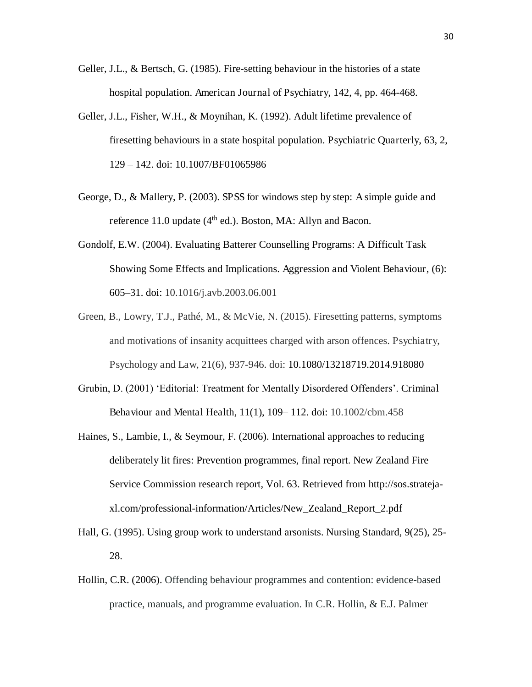- Geller, J.L., & Bertsch, G. (1985). Fire-setting behaviour in the histories of a state hospital population. American Journal of Psychiatry, 142, 4, pp. 464-468.
- Geller, J.L., Fisher, W.H., & Moynihan, K. (1992). Adult lifetime prevalence of firesetting behaviours in a state hospital population. Psychiatric Quarterly, 63, 2, 129 – 142. doi: 10.1007/BF01065986
- George, D., & Mallery, P. (2003). SPSS for windows step by step: A simple guide and reference 11.0 update  $(4<sup>th</sup>$  ed.). Boston, MA: Allyn and Bacon.
- Gondolf, E.W. (2004). Evaluating Batterer Counselling Programs: A Difficult Task Showing Some Effects and Implications. Aggression and Violent Behaviour, (6): 605–31. doi: 10.1016/j.avb.2003.06.001
- Green, B., Lowry, T.J., Pathé, M., & McVie, N. (2015). Firesetting patterns, symptoms and motivations of insanity acquittees charged with arson offences. Psychiatry, Psychology and Law, 21(6), 937-946. doi: 10.1080/13218719.2014.918080
- Grubin, D. (2001) 'Editorial: Treatment for Mentally Disordered Offenders'. Criminal Behaviour and Mental Health, 11(1), 109– 112. doi: 10.1002/cbm.458
- Haines, S., Lambie, I., & Seymour, F. (2006). International approaches to reducing deliberately lit fires: Prevention programmes, final report. New Zealand Fire Service Commission research report, Vol. 63. Retrieved from http://sos.stratejaxl.com/professional-information/Articles/New\_Zealand\_Report\_2.pdf
- Hall, G. (1995). Using group work to understand arsonists. Nursing Standard, 9(25), 25- 28.
- Hollin, C.R. (2006). Offending behaviour programmes and contention: evidence-based practice, manuals, and programme evaluation. In C.R. Hollin, & E.J. Palmer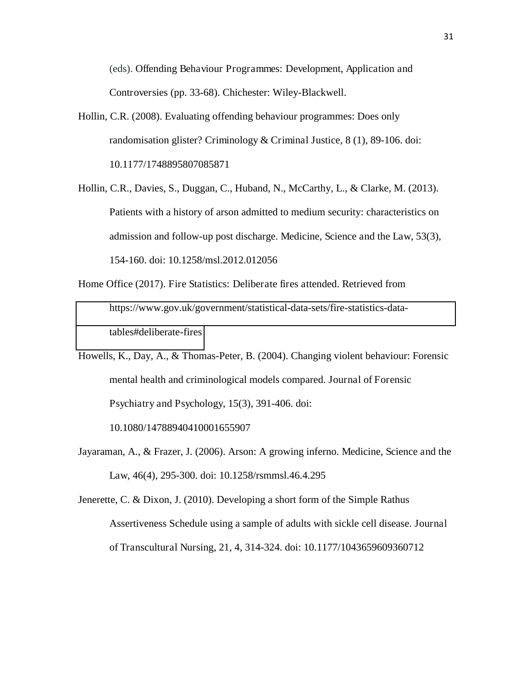(eds). Offending Behaviour Programmes: Development, Application and Controversies (pp. 33-68). Chichester: Wiley-Blackwell.

- Hollin, C.R. (2008). Evaluating offending behaviour programmes: Does only randomisation glister? Criminology & Criminal Justice, 8 (1), 89-106. doi: 10.1177/1748895807085871
- Hollin, C.R., Davies, S., Duggan, C., Huband, N., McCarthy, L., & Clarke, M. (2013). Patients with a history of arson admitted to medium security: characteristics on admission and follow-up post discharge. Medicine, Science and the Law, 53(3), 154-160. doi: 10.1258/msl.2012.012056
- Home Office (2017). Fire Statistics: Deliberate fires attended. Retrieved from [https://www.gov.uk/government/statistical-data-sets/fire-statistics-data](https://www.gov.uk/government/statistical-data-sets/fire-statistics-data-tables#deliberate-fires)[tables#deliberate-fires](https://www.gov.uk/government/statistical-data-sets/fire-statistics-data-tables#deliberate-fires)
- Howells, K., Day, A., & Thomas-Peter, B. (2004). Changing violent behaviour: Forensic mental health and criminological models compared. Journal of Forensic Psychiatry and Psychology, 15(3), 391-406. doi:

10.1080/14788940410001655907

Jayaraman, A., & Frazer, J. (2006). Arson: A growing inferno. Medicine, Science and the Law, 46(4), 295-300. doi: 10.1258/rsmmsl.46.4.295

Jenerette, C. & Dixon, J. (2010). Developing a short form of the Simple Rathus Assertiveness Schedule using a sample of adults with sickle cell disease. Journal of Transcultural Nursing, 21, 4, 314-324. doi: 10.1177/1043659609360712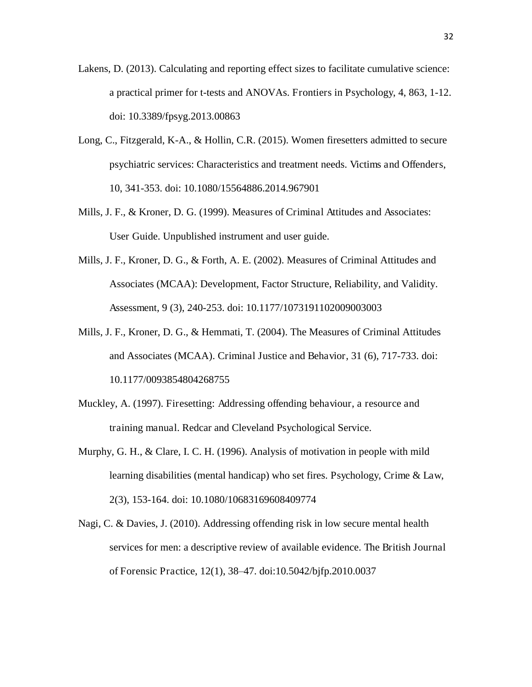- Lakens, D. (2013). Calculating and reporting effect sizes to facilitate cumulative science: a practical primer for t-tests and ANOVAs. Frontiers in Psychology, 4, 863, 1-12. doi: 10.3389/fpsyg.2013.00863
- Long, C., Fitzgerald, K-A., & Hollin, C.R. (2015). Women firesetters admitted to secure psychiatric services: Characteristics and treatment needs. Victims and Offenders, 10, 341-353. doi: 10.1080/15564886.2014.967901
- Mills, J. F., & Kroner, D. G. (1999). Measures of Criminal Attitudes and Associates: User Guide. Unpublished instrument and user guide.
- Mills, J. F., Kroner, D. G., & Forth, A. E. (2002). Measures of Criminal Attitudes and Associates (MCAA): Development, Factor Structure, Reliability, and Validity. Assessment, 9 (3), 240-253. doi: 10.1177/1073191102009003003
- Mills, J. F., Kroner, D. G., & Hemmati, T. (2004). The Measures of Criminal Attitudes and Associates (MCAA). Criminal Justice and Behavior, 31 (6), 717-733. doi: 10.1177/0093854804268755
- Muckley, A. (1997). Firesetting: Addressing offending behaviour, a resource and training manual. Redcar and Cleveland Psychological Service.
- Murphy, G. H., & Clare, I. C. H. (1996). Analysis of motivation in people with mild learning disabilities (mental handicap) who set fires. Psychology, Crime & Law, 2(3), 153-164. doi: 10.1080/10683169608409774
- Nagi, C. & Davies, J. (2010). Addressing offending risk in low secure mental health services for men: a descriptive review of available evidence. The British Journal of Forensic Practice, 12(1), 38–47. doi:10.5042/bjfp.2010.0037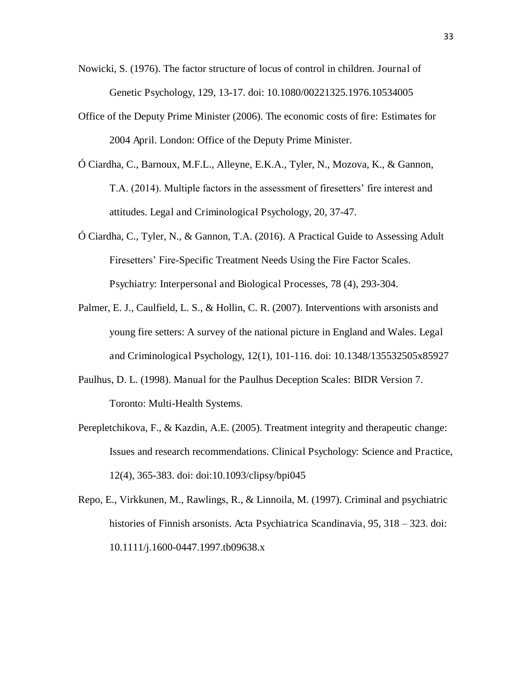- Nowicki, S. (1976). The factor structure of locus of control in children. Journal of Genetic Psychology, 129, 13-17. doi: 10.1080/00221325.1976.10534005
- Office of the Deputy Prime Minister (2006). The economic costs of fire: Estimates for 2004 April. London: Office of the Deputy Prime Minister.
- Ó Ciardha, C., Barnoux, M.F.L., Alleyne, E.K.A., Tyler, N., Mozova, K., & Gannon, T.A. (2014). Multiple factors in the assessment of firesetters' fire interest and attitudes. Legal and Criminological Psychology, 20, 37-47.
- Ó Ciardha, C., Tyler, N., & Gannon, T.A. (2016). A Practical Guide to Assessing Adult Firesetters' Fire-Specific Treatment Needs Using the Fire Factor Scales. Psychiatry: Interpersonal and Biological Processes, 78 (4), 293-304.
- Palmer, E. J., Caulfield, L. S., & Hollin, C. R. (2007). Interventions with arsonists and young fire setters: A survey of the national picture in England and Wales. Legal and Criminological Psychology, 12(1), 101-116. doi: 10.1348/135532505x85927
- Paulhus, D. L. (1998). Manual for the Paulhus Deception Scales: BIDR Version 7. Toronto: Multi-Health Systems.
- Perepletchikova, F., & Kazdin, A.E. (2005). Treatment integrity and therapeutic change: Issues and research recommendations. Clinical Psychology: Science and Practice, 12(4), 365-383. doi: doi:10.1093/clipsy/bpi045
- Repo, E., Virkkunen, M., Rawlings, R., & Linnoila, M. (1997). Criminal and psychiatric histories of Finnish arsonists. Acta Psychiatrica Scandinavia, 95, 318 – 323. doi: 10.1111/j.1600-0447.1997.tb09638.x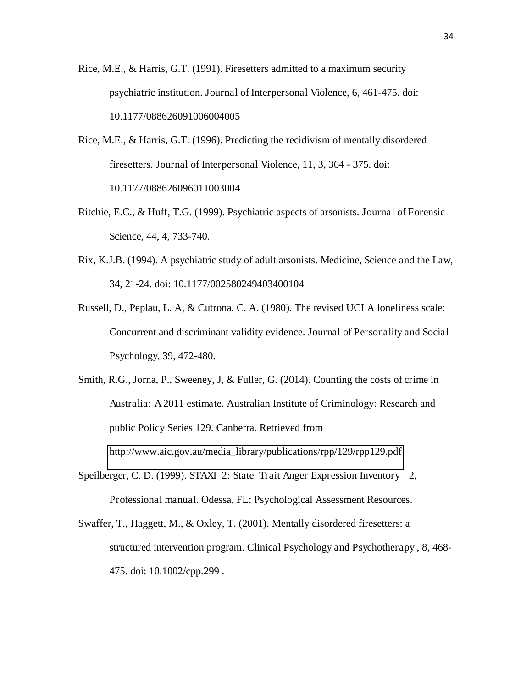- Rice, M.E., & Harris, G.T. (1991). Firesetters admitted to a maximum security psychiatric institution. Journal of Interpersonal Violence, 6, 461-475. doi: 10.1177/088626091006004005
- Rice, M.E., & Harris, G.T. (1996). Predicting the recidivism of mentally disordered firesetters. Journal of Interpersonal Violence, 11, 3, 364 - 375. doi: 10.1177/088626096011003004
- Ritchie, E.C., & Huff, T.G. (1999). Psychiatric aspects of arsonists. Journal of Forensic Science, 44, 4, 733-740.
- Rix, K.J.B. (1994). A psychiatric study of adult arsonists. Medicine, Science and the Law, 34, 21-24. doi: 10.1177/002580249403400104
- Russell, D., Peplau, L. A, & Cutrona, C. A. (1980). The revised UCLA loneliness scale: Concurrent and discriminant validity evidence. Journal of Personality and Social Psychology, 39, 472-480.
- Smith, R.G., Jorna, P., Sweeney, J, & Fuller, G. (2014). Counting the costs of crime in Australia: A 2011 estimate. Australian Institute of Criminology: Research and public Policy Series 129. Canberra. Retrieved from [http://www.aic.gov.au/media\\_library/publications/rpp/129/rpp129.pdf](http://www.aic.gov.au/media_library/publications/rpp/129/rpp129.pdf)
- Speilberger, C. D. (1999). STAXI*–*2: State*–*Trait Anger Expression Inventory*—*2, Professional manual. Odessa, FL: Psychological Assessment Resources.
- Swaffer, T., Haggett, M., & Oxley, T. (2001). Mentally disordered firesetters: a structured intervention program. Clinical Psychology and Psychotherapy , 8, 468- 475. doi: 10.1002/cpp.299 .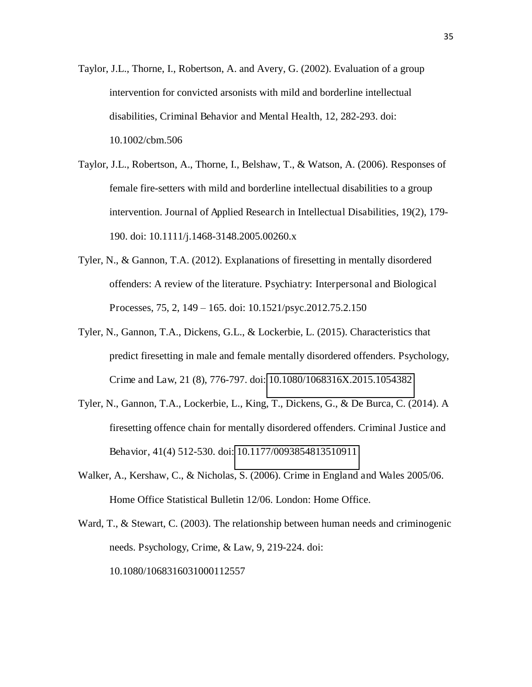- Taylor, J.L., Thorne, I., Robertson, A. and Avery, G. (2002). Evaluation of a group intervention for convicted arsonists with mild and borderline intellectual disabilities, Criminal Behavior and Mental Health, 12, 282-293. doi: 10.1002/cbm.506
- Taylor, J.L., Robertson, A., Thorne, I., Belshaw, T., & Watson, A. (2006). Responses of female fire-setters with mild and borderline intellectual disabilities to a group intervention. Journal of Applied Research in Intellectual Disabilities, 19(2), 179- 190. doi: 10.1111/j.1468-3148.2005.00260.x
- Tyler, N., & Gannon, T.A. (2012). Explanations of firesetting in mentally disordered offenders: A review of the literature. Psychiatry: Interpersonal and Biological Processes, 75, 2, 149 – 165. doi: 10.1521/psyc.2012.75.2.150
- Tyler, N., Gannon, T.A., Dickens, G.L., & Lockerbie, L. (2015). Characteristics that predict firesetting in male and female mentally disordered offenders. Psychology, Crime and Law, 21 (8), 776-797. doi: [10.1080/1068316X.2015.1054382](http://dx.doi.org.chain.kent.ac.uk/10.1080/1068316X.2015.1054382)
- Tyler, N., Gannon, T.A., Lockerbie, L., King, T., Dickens, G., & De Burca, C. (2014). A firesetting offence chain for mentally disordered offenders. Criminal Justice and Behavior, 41(4) 512-530. doi: [10.1177/0093854813510911](https://doi-org.chain.kent.ac.uk/10.1177/0093854813510911)
- Walker, A., Kershaw, C., & Nicholas, S. (2006). Crime in England and Wales 2005/06. Home Office Statistical Bulletin 12/06. London: Home Office.
- Ward, T., & Stewart, C. (2003). The relationship between human needs and criminogenic needs. Psychology, Crime, & Law, 9, 219-224. doi: 10.1080/1068316031000112557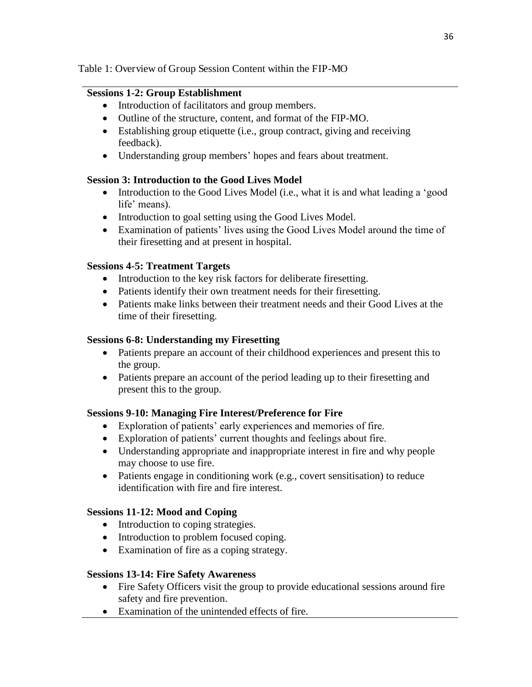#### Table 1: Overview of Group Session Content within the FIP-MO

#### **Sessions 1-2: Group Establishment**

- Introduction of facilitators and group members.
- Outline of the structure, content, and format of the FIP-MO.
- Establishing group etiquette (i.e., group contract, giving and receiving feedback).
- Understanding group members' hopes and fears about treatment.

#### **Session 3: Introduction to the Good Lives Model**

- Introduction to the Good Lives Model (i.e., what it is and what leading a 'good life' means).
- Introduction to goal setting using the Good Lives Model.
- Examination of patients' lives using the Good Lives Model around the time of their firesetting and at present in hospital.

#### **Sessions 4-5: Treatment Targets**

- Introduction to the key risk factors for deliberate firesetting.
- Patients identify their own treatment needs for their firesetting.
- Patients make links between their treatment needs and their Good Lives at the time of their firesetting.

#### **Sessions 6-8: Understanding my Firesetting**

- Patients prepare an account of their childhood experiences and present this to the group.
- Patients prepare an account of the period leading up to their firesetting and present this to the group.

#### **Sessions 9-10: Managing Fire Interest/Preference for Fire**

- Exploration of patients' early experiences and memories of fire.
- Exploration of patients' current thoughts and feelings about fire.
- Understanding appropriate and inappropriate interest in fire and why people may choose to use fire.
- Patients engage in conditioning work (e.g., covert sensitisation) to reduce identification with fire and fire interest.

#### **Sessions 11-12: Mood and Coping**

- Introduction to coping strategies.
- Introduction to problem focused coping.
- Examination of fire as a coping strategy.

#### **Sessions 13-14: Fire Safety Awareness**

- Fire Safety Officers visit the group to provide educational sessions around fire safety and fire prevention.
- Examination of the unintended effects of fire.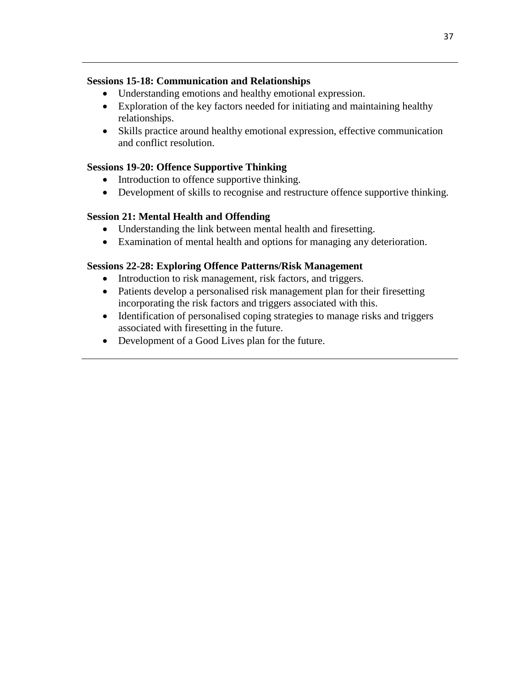#### **Sessions 15-18: Communication and Relationships**

- Understanding emotions and healthy emotional expression.
- Exploration of the key factors needed for initiating and maintaining healthy relationships.
- Skills practice around healthy emotional expression, effective communication and conflict resolution.

#### **Sessions 19-20: Offence Supportive Thinking**

- Introduction to offence supportive thinking.
- Development of skills to recognise and restructure offence supportive thinking.

#### **Session 21: Mental Health and Offending**

- Understanding the link between mental health and firesetting.
- Examination of mental health and options for managing any deterioration.

#### **Sessions 22-28: Exploring Offence Patterns/Risk Management**

- Introduction to risk management, risk factors, and triggers.
- Patients develop a personalised risk management plan for their firesetting incorporating the risk factors and triggers associated with this.
- Identification of personalised coping strategies to manage risks and triggers associated with firesetting in the future.
- Development of a Good Lives plan for the future.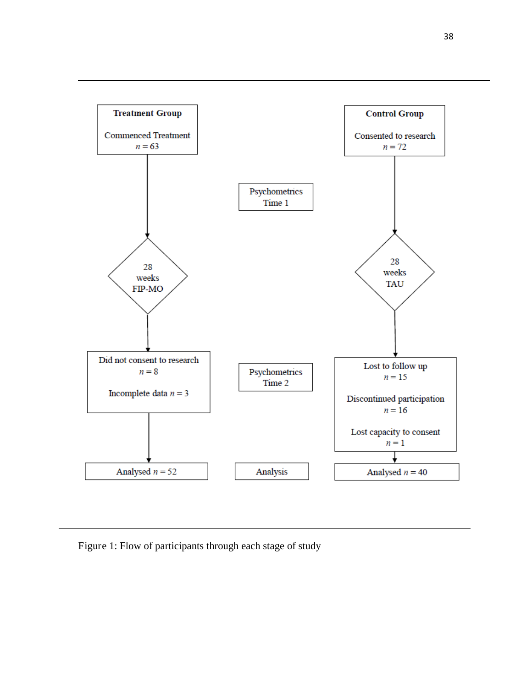

Figure 1: Flow of participants through each stage of study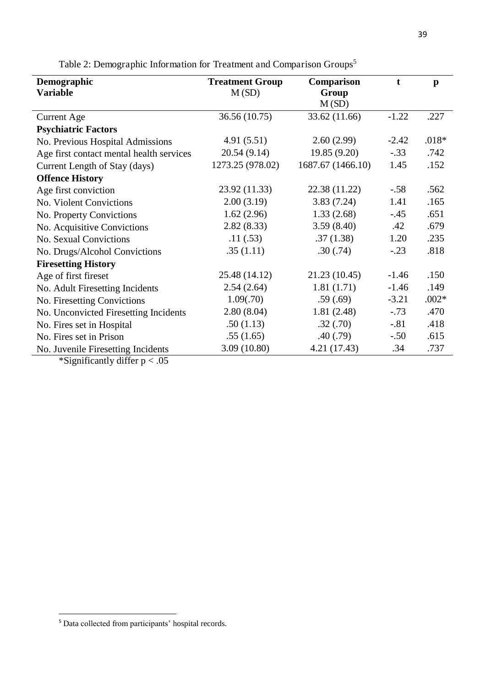| Demographic                              | <b>Treatment Group</b> | Comparison        | $\mathbf t$ | $\mathbf{p}$ |
|------------------------------------------|------------------------|-------------------|-------------|--------------|
| <b>Variable</b>                          | M(SD)                  | Group             |             |              |
|                                          |                        | M(SD)             |             |              |
| <b>Current Age</b>                       | 36.56 (10.75)          | 33.62 (11.66)     | $-1.22$     | .227         |
| <b>Psychiatric Factors</b>               |                        |                   |             |              |
| No. Previous Hospital Admissions         | 4.91(5.51)             | 2.60(2.99)        | $-2.42$     | $.018*$      |
| Age first contact mental health services | 20.54 (9.14)           | 19.85(9.20)       | $-.33$      | .742         |
| Current Length of Stay (days)            | 1273.25 (978.02)       | 1687.67 (1466.10) | 1.45        | .152         |
| <b>Offence History</b>                   |                        |                   |             |              |
| Age first conviction                     | 23.92 (11.33)          | 22.38 (11.22)     | $-.58$      | .562         |
| No. Violent Convictions                  | 2.00(3.19)             | 3.83(7.24)        | 1.41        | .165         |
| No. Property Convictions                 | 1.62(2.96)             | 1.33(2.68)        | $-.45$      | .651         |
| No. Acquisitive Convictions              | 2.82(8.33)             | 3.59(8.40)        | .42         | .679         |
| No. Sexual Convictions                   | .11(.53)               | .37(1.38)         | 1.20        | .235         |
| No. Drugs/Alcohol Convictions            | .35(1.11)              | .30(.74)          | $-.23$      | .818         |
| <b>Firesetting History</b>               |                        |                   |             |              |
| Age of first fireset                     | 25.48 (14.12)          | 21.23 (10.45)     | $-1.46$     | .150         |
| No. Adult Firesetting Incidents          | 2.54(2.64)             | 1.81(1.71)        | $-1.46$     | .149         |
| No. Firesetting Convictions              | 1.09(.70)              | .59(.69)          | $-3.21$     | $.002*$      |
| No. Unconvicted Firesetting Incidents    | 2.80(8.04)             | 1.81(2.48)        | $-.73$      | .470         |
| No. Fires set in Hospital                | .50(1.13)              | .32(.70)          | $-.81$      | .418         |
| No. Fires set in Prison                  | .55(1.65)              | .40(.79)          | $-.50$      | .615         |
| No. Juvenile Firesetting Incidents       | 3.09(10.80)            | 4.21(17.43)       | .34         | .737         |
| *Significantly differ $p < .05$          |                        |                   |             |              |

Table 2: Demographic Information for Treatment and Comparison Groups<sup>5</sup>

 $\overline{a}$ 

<sup>&</sup>lt;sup>5</sup> Data collected from participants' hospital records.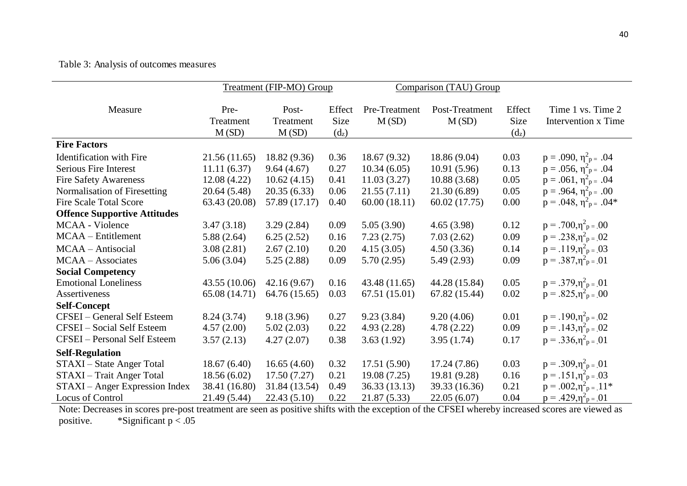#### Table 3: Analysis of outcomes measures

|                                     | Treatment (FIP-MO) Group   |                             | Comparison (TAU) Group      |                        |                         |                             |                                          |
|-------------------------------------|----------------------------|-----------------------------|-----------------------------|------------------------|-------------------------|-----------------------------|------------------------------------------|
| Measure                             | Pre-<br>Treatment<br>M(SD) | Post-<br>Treatment<br>M(SD) | Effect<br>Size<br>$(d_{z})$ | Pre-Treatment<br>M(SD) | Post-Treatment<br>M(SD) | Effect<br>Size<br>$(d_{z})$ | Time 1 vs. Time 2<br>Intervention x Time |
| <b>Fire Factors</b>                 |                            |                             |                             |                        |                         |                             |                                          |
| <b>Identification</b> with Fire     | 21.56(11.65)               | 18.82 (9.36)                | 0.36                        | 18.67 (9.32)           | 18.86 (9.04)            | 0.03                        | $p = .090, \eta^2_{p} = .04$             |
| Serious Fire Interest               | 11.11(6.37)                | 9.64(4.67)                  | 0.27                        | 10.34(6.05)            | 10.91(5.96)             | 0.13                        | $p = .056$ , $\eta_{p}^2 = .04$          |
| <b>Fire Safety Awareness</b>        | 12.08(4.22)                | 10.62(4.15)                 | 0.41                        | 11.03(3.27)            | 10.88(3.68)             | 0.05                        | $p = .061, \eta_{p}^2 = .04$             |
| Normalisation of Firesetting        | 20.64 (5.48)               | 20.35(6.33)                 | 0.06                        | 21.55(7.11)            | 21.30 (6.89)            | 0.05                        | $p = .964, \eta_{p}^2 = .00$             |
| <b>Fire Scale Total Score</b>       | 63.43 (20.08)              | 57.89 (17.17)               | 0.40                        | 60.00(18.11)           | 60.02 (17.75)           | 0.00                        | $p = .048$ , $\eta_{p}^2 = .04*$         |
| <b>Offence Supportive Attitudes</b> |                            |                             |                             |                        |                         |                             |                                          |
| MCAA - Violence                     | 3.47(3.18)                 | 3.29(2.84)                  | 0.09                        | 5.05(3.90)             | 4.65(3.98)              | 0.12                        | $p = .700, \eta^2 p = .00$               |
| MCAA – Entitlement                  | 5.88(2.64)                 | 6.25(2.52)                  | 0.16                        | 7.23(2.75)             | 7.03(2.62)              | 0.09                        | $p = .238, \eta^{2}$ <sub>p = .</sub> 02 |
| MCAA - Antisocial                   | 3.08(2.81)                 | 2.67(2.10)                  | 0.20                        | 4.15(3.05)             | 4.50(3.36)              | 0.14                        | $p = .119, \eta^{2}$ <sub>p = .</sub> 03 |
| MCAA - Associates                   | 5.06(3.04)                 | 5.25(2.88)                  | 0.09                        | 5.70(2.95)             | 5.49(2.93)              | 0.09                        | $p = .387, \eta_{p}^2 = .01$             |
| <b>Social Competency</b>            |                            |                             |                             |                        |                         |                             |                                          |
| <b>Emotional Loneliness</b>         | 43.55(10.06)               | 42.16(9.67)                 | 0.16                        | 43.48 (11.65)          | 44.28 (15.84)           | 0.05                        | $p = .379, \eta^2 p = .01$               |
| Assertiveness                       | 65.08 (14.71)              | 64.76 (15.65)               | 0.03                        | 67.51 (15.01)          | 67.82 (15.44)           | 0.02                        | $p = .825, \eta^{2}$ <sub>p = .00</sub>  |
| <b>Self-Concept</b>                 |                            |                             |                             |                        |                         |                             |                                          |
| CFSEI - General Self Esteem         | 8.24(3.74)                 | 9.18(3.96)                  | 0.27                        | 9.23(3.84)             | 9.20(4.06)              | 0.01                        | $p = .190, \eta_{p}^{2} = .02$           |
| CFSEI - Social Self Esteem          | 4.57(2.00)                 | 5.02(2.03)                  | 0.22                        | 4.93(2.28)             | 4.78(2.22)              | 0.09                        | $p = .143, \eta^{2}$ <sub>p = .</sub> 02 |
| <b>CFSEI</b> - Personal Self Esteem | 3.57(2.13)                 | 4.27(2.07)                  | 0.38                        | 3.63(1.92)             | 3.95(1.74)              | 0.17                        | $p = .336, \eta^2 p = .01$               |
| <b>Self-Regulation</b>              |                            |                             |                             |                        |                         |                             |                                          |
| STAXI – State Anger Total           | 18.67(6.40)                | 16.65(4.60)                 | 0.32                        | 17.51(5.90)            | 17.24 (7.86)            | 0.03                        | $p = .309, \eta^2 p = .01$               |
| STAXI - Trait Anger Total           | 18.56(6.02)                | 17.50(7.27)                 | 0.21                        | 19.08(7.25)            | 19.81 (9.28)            | 0.16                        | $p = .151, \eta^2 p = .03$               |
| STAXI – Anger Expression Index      | 38.41 (16.80)              | 31.84 (13.54)               | 0.49                        | 36.33(13.13)           | 39.33 (16.36)           | 0.21                        | $p = .002, \eta^2 p = .11*$              |
| Locus of Control                    | 21.49 (5.44)               | 22.43(5.10)                 | 0.22                        | 21.87 (5.33)           | 22.05(6.07)             | 0.04                        | $p = .429, \eta_{p}^{2} = .01$           |

Note: Decreases in scores pre-post treatment are seen as positive shifts with the exception of the CFSEI whereby increased scores are viewed as positive. \* Significant  $p < .05$